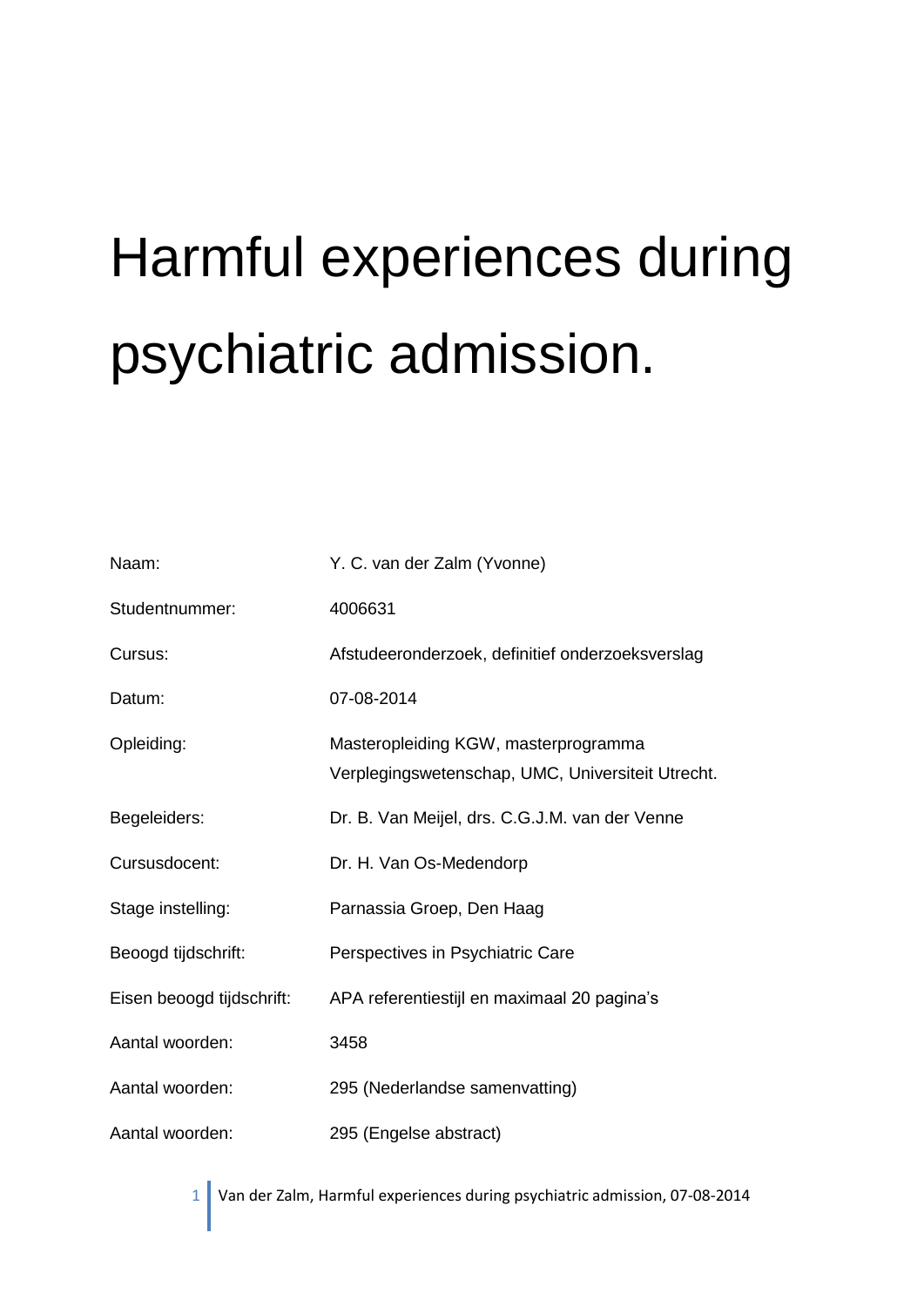# Harmful experiences during psychiatric admission.

| Naam:                     | Y. C. van der Zalm (Yvonne)                                                               |
|---------------------------|-------------------------------------------------------------------------------------------|
| Studentnummer:            | 4006631                                                                                   |
| Cursus:                   | Afstudeeronderzoek, definitief onderzoeksverslag                                          |
| Datum:                    | 07-08-2014                                                                                |
| Opleiding:                | Masteropleiding KGW, masterprogramma<br>Verplegingswetenschap, UMC, Universiteit Utrecht. |
| Begeleiders:              | Dr. B. Van Meijel, drs. C.G.J.M. van der Venne                                            |
| Cursusdocent:             | Dr. H. Van Os-Medendorp                                                                   |
| Stage instelling:         | Parnassia Groep, Den Haag                                                                 |
| Beoogd tijdschrift:       | Perspectives in Psychiatric Care                                                          |
| Eisen beoogd tijdschrift: | APA referentiestijl en maximaal 20 pagina's                                               |
| Aantal woorden:           | 3458                                                                                      |
| Aantal woorden:           | 295 (Nederlandse samenvatting)                                                            |
| Aantal woorden:           | 295 (Engelse abstract)                                                                    |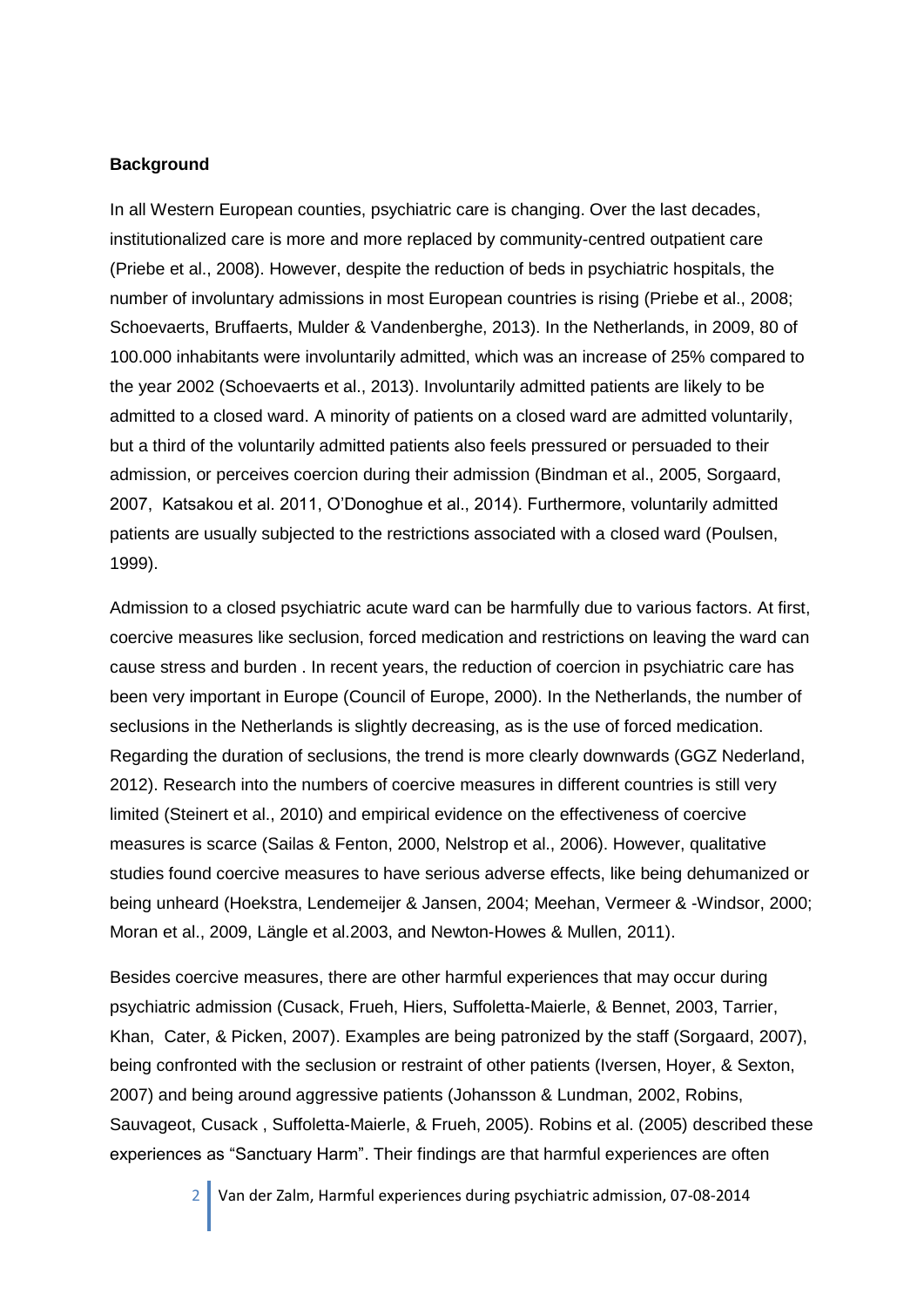#### **Background**

In all Western European counties, psychiatric care is changing. Over the last decades, institutionalized care is more and more replaced by community-centred outpatient care (Priebe et al., 2008). However, despite the reduction of beds in psychiatric hospitals, the number of involuntary admissions in most European countries is rising (Priebe et al., 2008; Schoevaerts, Bruffaerts, Mulder & Vandenberghe, 2013). In the Netherlands, in 2009, 80 of 100.000 inhabitants were involuntarily admitted, which was an increase of 25% compared to the year 2002 (Schoevaerts et al., 2013). Involuntarily admitted patients are likely to be admitted to a closed ward. A minority of patients on a closed ward are admitted voluntarily, but a third of the voluntarily admitted patients also feels pressured or persuaded to their admission, or perceives coercion during their admission (Bindman et al., 2005, Sorgaard, 2007, Katsakou et al. 2011, O'Donoghue et al., 2014). Furthermore, voluntarily admitted patients are usually subjected to the restrictions associated with a closed ward (Poulsen, 1999).

Admission to a closed psychiatric acute ward can be harmfully due to various factors. At first, coercive measures like seclusion, forced medication and restrictions on leaving the ward can cause stress and burden . In recent years, the reduction of coercion in psychiatric care has been very important in Europe (Council of Europe, 2000). In the Netherlands, the number of seclusions in the Netherlands is slightly decreasing, as is the use of forced medication. Regarding the duration of seclusions, the trend is more clearly downwards (GGZ Nederland, 2012). Research into the numbers of coercive measures in different countries is still very limited (Steinert et al., 2010) and empirical evidence on the effectiveness of coercive measures is scarce (Sailas & Fenton, 2000, Nelstrop et al., 2006). However, qualitative studies found coercive measures to have serious adverse effects, like being dehumanized or being unheard (Hoekstra, Lendemeijer & Jansen, 2004; Meehan, Vermeer & -Windsor, 2000; Moran et al., 2009, Längle et al.2003, and Newton-Howes & Mullen, 2011).

Besides coercive measures, there are other harmful experiences that may occur during psychiatric admission (Cusack, Frueh, Hiers, Suffoletta-Maierle, & Bennet, 2003, Tarrier, Khan, Cater, & Picken, 2007). Examples are being patronized by the staff (Sorgaard, 2007), being confronted with the seclusion or restraint of other patients (Iversen, Hoyer, & Sexton, 2007) and being around aggressive patients (Johansson & Lundman, 2002, Robins, Sauvageot, Cusack , Suffoletta-Maierle, & Frueh, 2005). Robins et al. (2005) described these experiences as "Sanctuary Harm". Their findings are that harmful experiences are often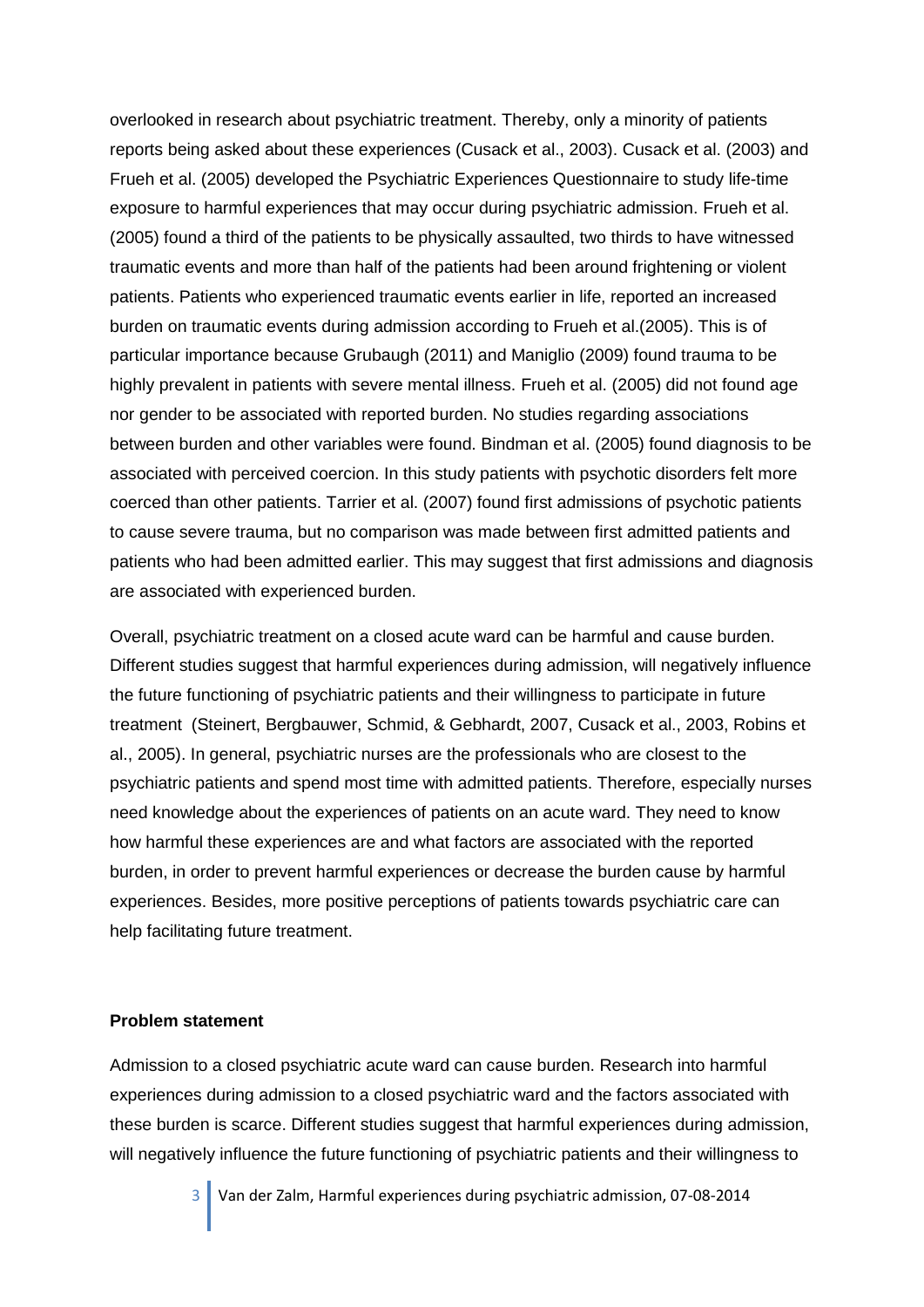overlooked in research about psychiatric treatment. Thereby, only a minority of patients reports being asked about these experiences (Cusack et al., 2003). Cusack et al. (2003) and Frueh et al. (2005) developed the Psychiatric Experiences Questionnaire to study life-time exposure to harmful experiences that may occur during psychiatric admission. Frueh et al. (2005) found a third of the patients to be physically assaulted, two thirds to have witnessed traumatic events and more than half of the patients had been around frightening or violent patients. Patients who experienced traumatic events earlier in life, reported an increased burden on traumatic events during admission according to Frueh et al.(2005). This is of particular importance because Grubaugh (2011) and Maniglio (2009) found trauma to be highly prevalent in patients with severe mental illness. Frueh et al. (2005) did not found age nor gender to be associated with reported burden. No studies regarding associations between burden and other variables were found. Bindman et al. (2005) found diagnosis to be associated with perceived coercion. In this study patients with psychotic disorders felt more coerced than other patients. Tarrier et al. (2007) found first admissions of psychotic patients to cause severe trauma, but no comparison was made between first admitted patients and patients who had been admitted earlier. This may suggest that first admissions and diagnosis are associated with experienced burden.

Overall, psychiatric treatment on a closed acute ward can be harmful and cause burden. Different studies suggest that harmful experiences during admission, will negatively influence the future functioning of psychiatric patients and their willingness to participate in future treatment (Steinert, Bergbauwer, Schmid, & Gebhardt, 2007, Cusack et al., 2003, Robins et al., 2005). In general, psychiatric nurses are the professionals who are closest to the psychiatric patients and spend most time with admitted patients. Therefore, especially nurses need knowledge about the experiences of patients on an acute ward. They need to know how harmful these experiences are and what factors are associated with the reported burden, in order to prevent harmful experiences or decrease the burden cause by harmful experiences. Besides, more positive perceptions of patients towards psychiatric care can help facilitating future treatment.

#### **Problem statement**

Admission to a closed psychiatric acute ward can cause burden. Research into harmful experiences during admission to a closed psychiatric ward and the factors associated with these burden is scarce. Different studies suggest that harmful experiences during admission, will negatively influence the future functioning of psychiatric patients and their willingness to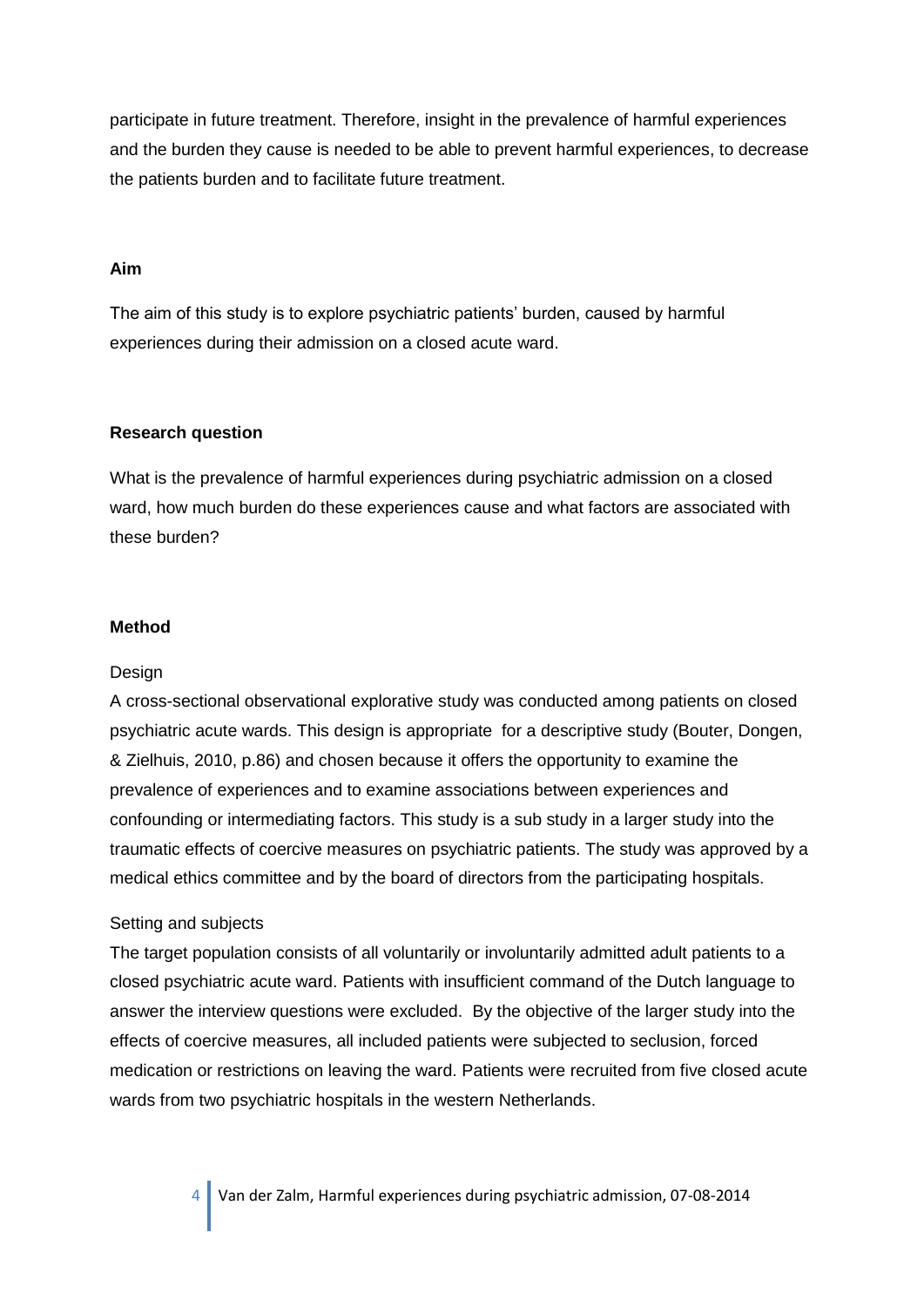participate in future treatment. Therefore, insight in the prevalence of harmful experiences and the burden they cause is needed to be able to prevent harmful experiences, to decrease the patients burden and to facilitate future treatment.

# **Aim**

The aim of this study is to explore psychiatric patients' burden, caused by harmful experiences during their admission on a closed acute ward.

# **Research question**

What is the prevalence of harmful experiences during psychiatric admission on a closed ward, how much burden do these experiences cause and what factors are associated with these burden?

# **Method**

# Design

A cross-sectional observational explorative study was conducted among patients on closed psychiatric acute wards. This design is appropriate for a descriptive study (Bouter, Dongen, & Zielhuis, 2010, p.86) and chosen because it offers the opportunity to examine the prevalence of experiences and to examine associations between experiences and confounding or intermediating factors. This study is a sub study in a larger study into the traumatic effects of coercive measures on psychiatric patients. The study was approved by a medical ethics committee and by the board of directors from the participating hospitals.

# Setting and subjects

The target population consists of all voluntarily or involuntarily admitted adult patients to a closed psychiatric acute ward. Patients with insufficient command of the Dutch language to answer the interview questions were excluded. By the objective of the larger study into the effects of coercive measures, all included patients were subjected to seclusion, forced medication or restrictions on leaving the ward. Patients were recruited from five closed acute wards from two psychiatric hospitals in the western Netherlands.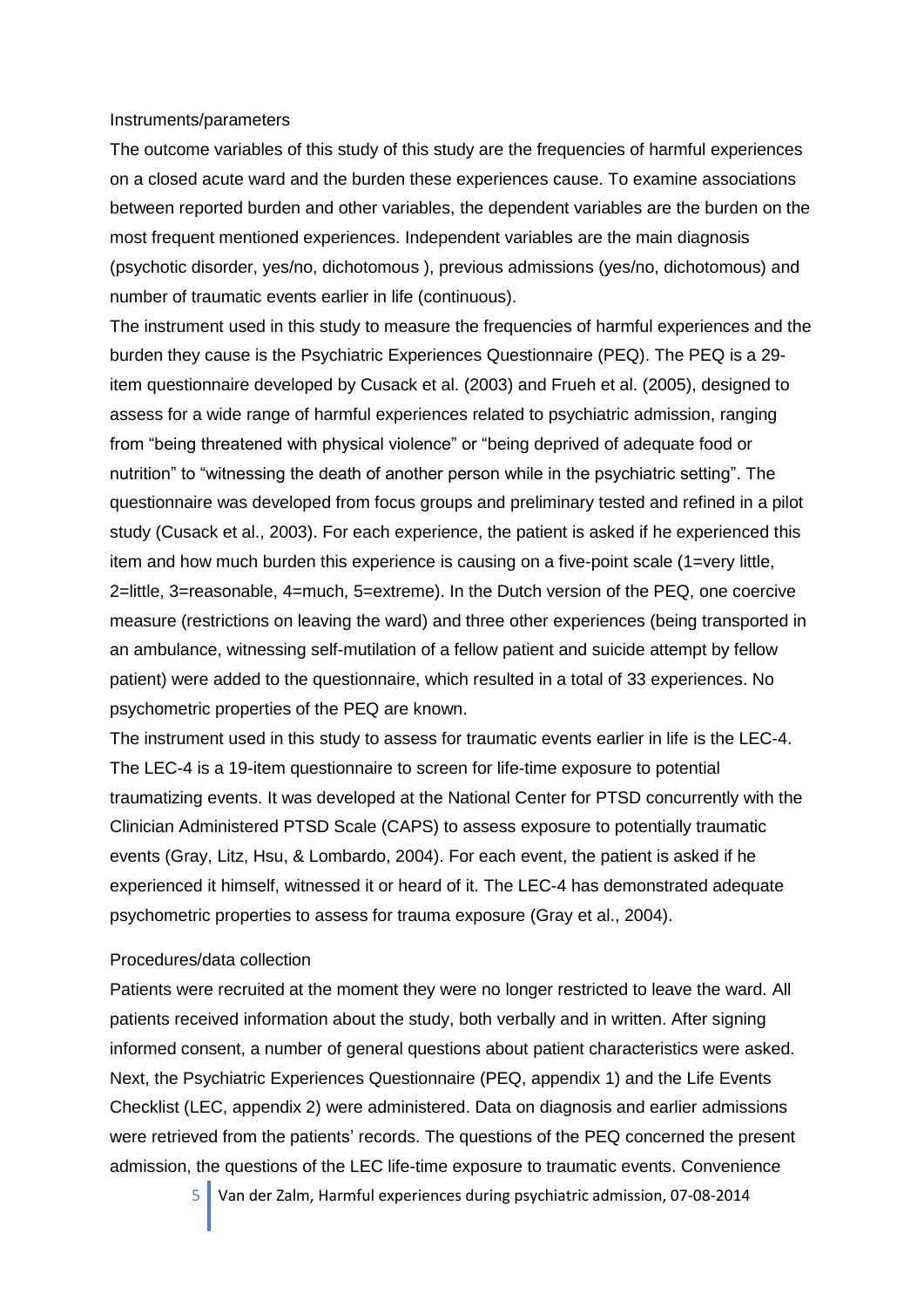#### Instruments/parameters

The outcome variables of this study of this study are the frequencies of harmful experiences on a closed acute ward and the burden these experiences cause. To examine associations between reported burden and other variables, the dependent variables are the burden on the most frequent mentioned experiences. Independent variables are the main diagnosis (psychotic disorder, yes/no, dichotomous ), previous admissions (yes/no, dichotomous) and number of traumatic events earlier in life (continuous).

The instrument used in this study to measure the frequencies of harmful experiences and the burden they cause is the Psychiatric Experiences Questionnaire (PEQ). The PEQ is a 29 item questionnaire developed by Cusack et al. (2003) and Frueh et al. (2005), designed to assess for a wide range of harmful experiences related to psychiatric admission, ranging from "being threatened with physical violence" or "being deprived of adequate food or nutrition" to "witnessing the death of another person while in the psychiatric setting". The questionnaire was developed from focus groups and preliminary tested and refined in a pilot study (Cusack et al., 2003). For each experience, the patient is asked if he experienced this item and how much burden this experience is causing on a five-point scale (1=very little, 2=little, 3=reasonable, 4=much, 5=extreme). In the Dutch version of the PEQ, one coercive measure (restrictions on leaving the ward) and three other experiences (being transported in an ambulance, witnessing self-mutilation of a fellow patient and suicide attempt by fellow patient) were added to the questionnaire, which resulted in a total of 33 experiences. No psychometric properties of the PEQ are known.

The instrument used in this study to assess for traumatic events earlier in life is the LEC-4. The LEC-4 is a 19-item questionnaire to screen for life-time exposure to potential traumatizing events. It was developed at the National Center for PTSD concurrently with the Clinician Administered PTSD Scale (CAPS) to assess exposure to potentially traumatic events (Gray, Litz, Hsu, & Lombardo, 2004). For each event, the patient is asked if he experienced it himself, witnessed it or heard of it. The LEC-4 has demonstrated adequate psychometric properties to assess for trauma exposure (Gray et al., 2004).

#### Procedures/data collection

Patients were recruited at the moment they were no longer restricted to leave the ward. All patients received information about the study, both verbally and in written. After signing informed consent, a number of general questions about patient characteristics were asked. Next, the Psychiatric Experiences Questionnaire (PEQ, appendix 1) and the Life Events Checklist (LEC, appendix 2) were administered. Data on diagnosis and earlier admissions were retrieved from the patients' records. The questions of the PEQ concerned the present admission, the questions of the LEC life-time exposure to traumatic events. Convenience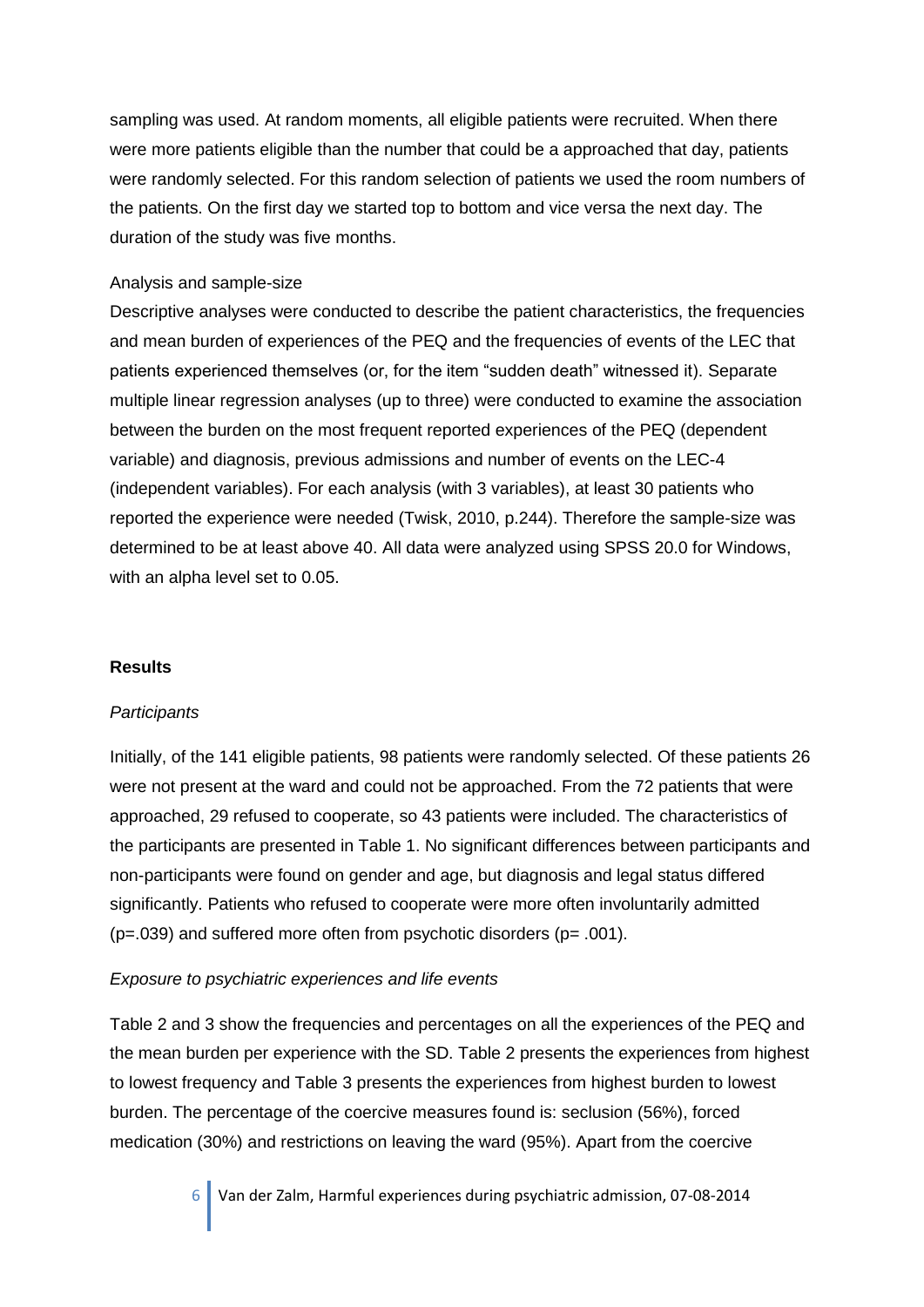sampling was used. At random moments, all eligible patients were recruited. When there were more patients eligible than the number that could be a approached that day, patients were randomly selected. For this random selection of patients we used the room numbers of the patients. On the first day we started top to bottom and vice versa the next day. The duration of the study was five months.

## Analysis and sample-size

Descriptive analyses were conducted to describe the patient characteristics, the frequencies and mean burden of experiences of the PEQ and the frequencies of events of the LEC that patients experienced themselves (or, for the item "sudden death" witnessed it). Separate multiple linear regression analyses (up to three) were conducted to examine the association between the burden on the most frequent reported experiences of the PEQ (dependent variable) and diagnosis, previous admissions and number of events on the LEC-4 (independent variables). For each analysis (with 3 variables), at least 30 patients who reported the experience were needed (Twisk, 2010, p.244). Therefore the sample-size was determined to be at least above 40. All data were analyzed using SPSS 20.0 for Windows, with an alpha level set to 0.05.

# **Results**

#### *Participants*

Initially, of the 141 eligible patients, 98 patients were randomly selected. Of these patients 26 were not present at the ward and could not be approached. From the 72 patients that were approached, 29 refused to cooperate, so 43 patients were included. The characteristics of the participants are presented in Table 1. No significant differences between participants and non-participants were found on gender and age, but diagnosis and legal status differed significantly. Patients who refused to cooperate were more often involuntarily admitted  $(p=.039)$  and suffered more often from psychotic disorders  $(p=.001)$ .

# *Exposure to psychiatric experiences and life events*

Table 2 and 3 show the frequencies and percentages on all the experiences of the PEQ and the mean burden per experience with the SD. Table 2 presents the experiences from highest to lowest frequency and Table 3 presents the experiences from highest burden to lowest burden. The percentage of the coercive measures found is: seclusion (56%), forced medication (30%) and restrictions on leaving the ward (95%). Apart from the coercive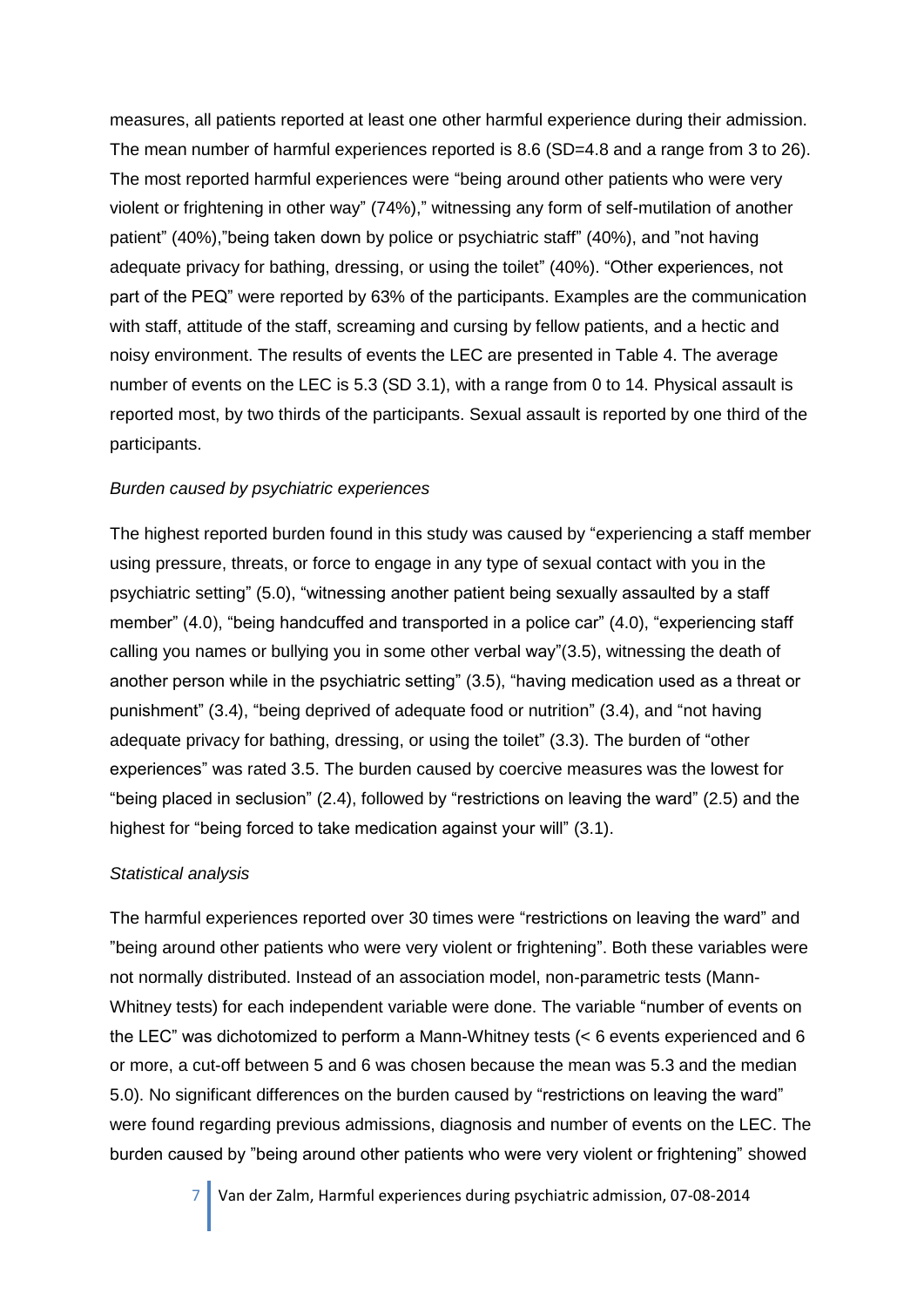measures, all patients reported at least one other harmful experience during their admission. The mean number of harmful experiences reported is 8.6 (SD=4.8 and a range from 3 to 26). The most reported harmful experiences were "being around other patients who were very violent or frightening in other way" (74%)," witnessing any form of self-mutilation of another patient" (40%),"being taken down by police or psychiatric staff" (40%), and "not having adequate privacy for bathing, dressing, or using the toilet" (40%). "Other experiences, not part of the PEQ" were reported by 63% of the participants. Examples are the communication with staff, attitude of the staff, screaming and cursing by fellow patients, and a hectic and noisy environment. The results of events the LEC are presented in Table 4. The average number of events on the LEC is 5.3 (SD 3.1), with a range from 0 to 14. Physical assault is reported most, by two thirds of the participants. Sexual assault is reported by one third of the participants.

#### *Burden caused by psychiatric experiences*

The highest reported burden found in this study was caused by "experiencing a staff member using pressure, threats, or force to engage in any type of sexual contact with you in the psychiatric setting" (5.0), "witnessing another patient being sexually assaulted by a staff member" (4.0), "being handcuffed and transported in a police car" (4.0), "experiencing staff calling you names or bullying you in some other verbal way"(3.5), witnessing the death of another person while in the psychiatric setting" (3.5), "having medication used as a threat or punishment" (3.4), "being deprived of adequate food or nutrition" (3.4), and "not having adequate privacy for bathing, dressing, or using the toilet" (3.3). The burden of "other experiences" was rated 3.5. The burden caused by coercive measures was the lowest for "being placed in seclusion" (2.4), followed by "restrictions on leaving the ward" (2.5) and the highest for "being forced to take medication against your will" (3.1).

#### *Statistical analysis*

The harmful experiences reported over 30 times were "restrictions on leaving the ward" and "being around other patients who were very violent or frightening". Both these variables were not normally distributed. Instead of an association model, non-parametric tests (Mann-Whitney tests) for each independent variable were done. The variable "number of events on the LEC" was dichotomized to perform a Mann-Whitney tests (< 6 events experienced and 6 or more, a cut-off between 5 and 6 was chosen because the mean was 5.3 and the median 5.0). No significant differences on the burden caused by "restrictions on leaving the ward" were found regarding previous admissions, diagnosis and number of events on the LEC. The burden caused by "being around other patients who were very violent or frightening" showed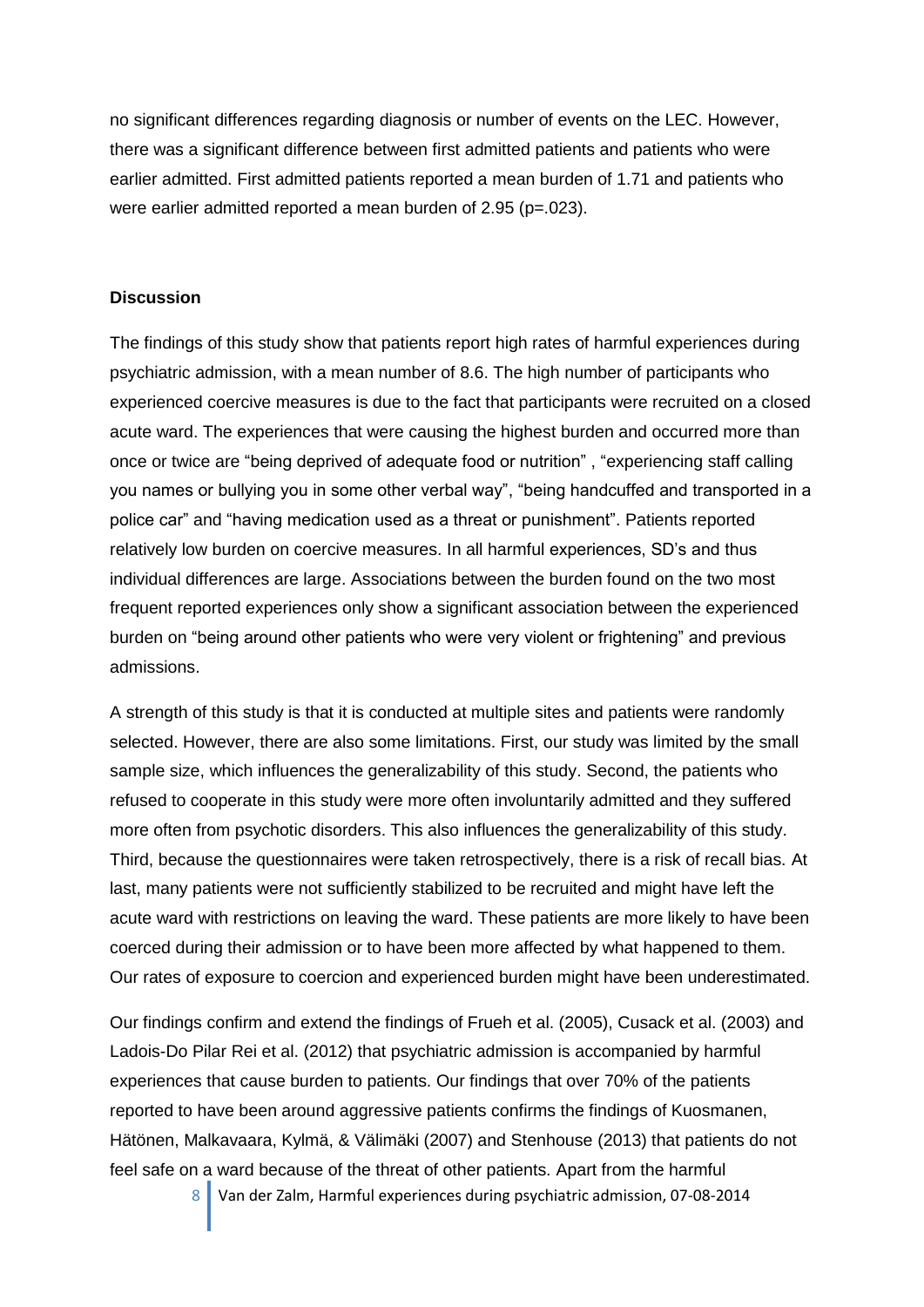no significant differences regarding diagnosis or number of events on the LEC. However, there was a significant difference between first admitted patients and patients who were earlier admitted. First admitted patients reported a mean burden of 1.71 and patients who were earlier admitted reported a mean burden of 2.95 (p=.023).

## **Discussion**

The findings of this study show that patients report high rates of harmful experiences during psychiatric admission, with a mean number of 8.6. The high number of participants who experienced coercive measures is due to the fact that participants were recruited on a closed acute ward. The experiences that were causing the highest burden and occurred more than once or twice are "being deprived of adequate food or nutrition" , "experiencing staff calling you names or bullying you in some other verbal way", "being handcuffed and transported in a police car" and "having medication used as a threat or punishment". Patients reported relatively low burden on coercive measures. In all harmful experiences, SD's and thus individual differences are large. Associations between the burden found on the two most frequent reported experiences only show a significant association between the experienced burden on "being around other patients who were very violent or frightening" and previous admissions.

A strength of this study is that it is conducted at multiple sites and patients were randomly selected. However, there are also some limitations. First, our study was limited by the small sample size, which influences the generalizability of this study. Second, the patients who refused to cooperate in this study were more often involuntarily admitted and they suffered more often from psychotic disorders. This also influences the generalizability of this study. Third, because the questionnaires were taken retrospectively, there is a risk of recall bias. At last, many patients were not sufficiently stabilized to be recruited and might have left the acute ward with restrictions on leaving the ward. These patients are more likely to have been coerced during their admission or to have been more affected by what happened to them. Our rates of exposure to coercion and experienced burden might have been underestimated.

Our findings confirm and extend the findings of Frueh et al. (2005), Cusack et al. (2003) and Ladois-Do Pilar Rei et al. (2012) that psychiatric admission is accompanied by harmful experiences that cause burden to patients. Our findings that over 70% of the patients reported to have been around aggressive patients confirms the findings of Kuosmanen, Hätönen, Malkavaara, Kylmä, & Välimäki (2007) and Stenhouse (2013) that patients do not feel safe on a ward because of the threat of other patients. Apart from the harmful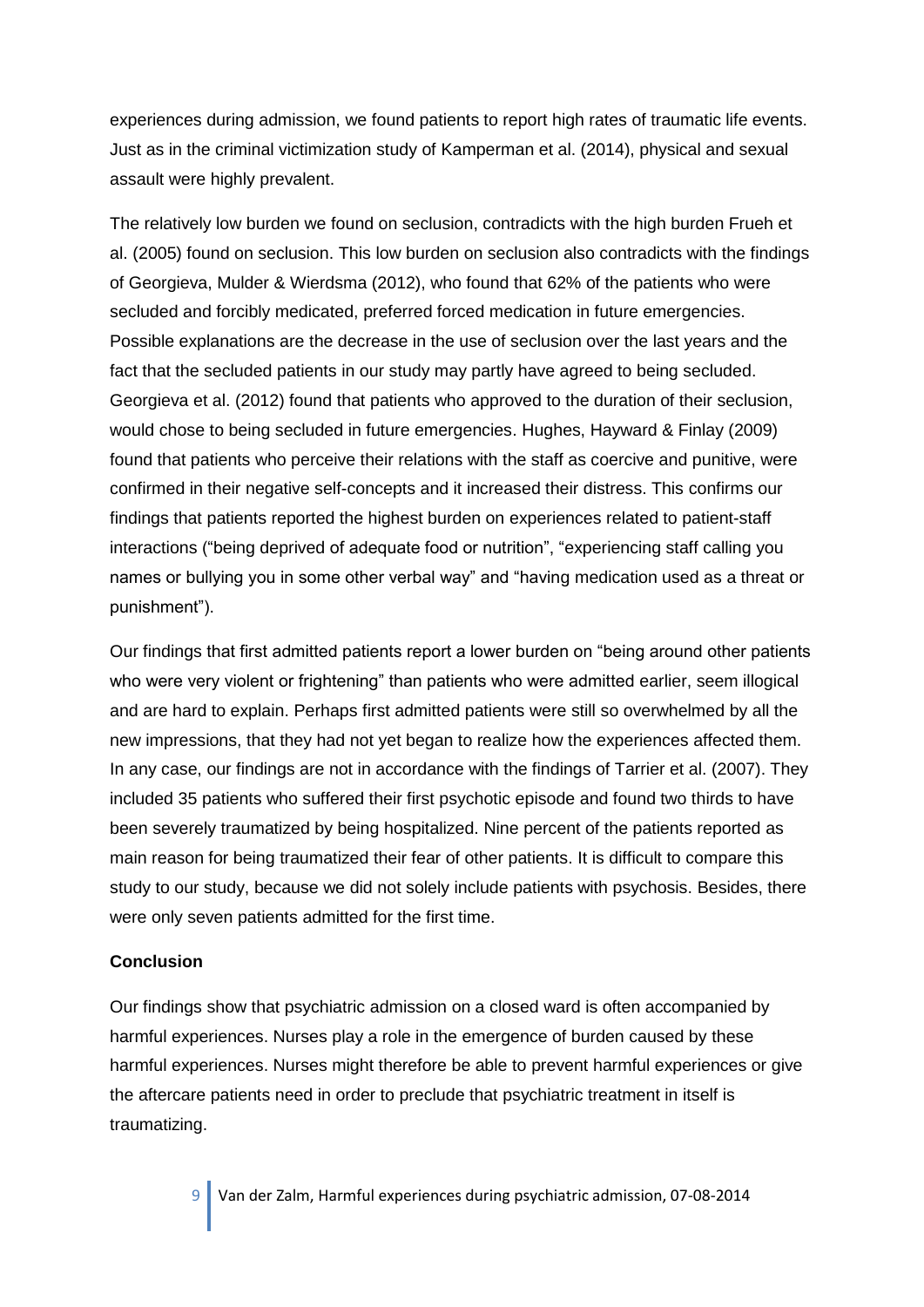experiences during admission, we found patients to report high rates of traumatic life events. Just as in the criminal victimization study of Kamperman et al. (2014), physical and sexual assault were highly prevalent.

The relatively low burden we found on seclusion, contradicts with the high burden Frueh et al. (2005) found on seclusion. This low burden on seclusion also contradicts with the findings of Georgieva, Mulder & Wierdsma (2012), who found that 62% of the patients who were secluded and forcibly medicated, preferred forced medication in future emergencies. Possible explanations are the decrease in the use of seclusion over the last years and the fact that the secluded patients in our study may partly have agreed to being secluded. Georgieva et al. (2012) found that patients who approved to the duration of their seclusion, would chose to being secluded in future emergencies. Hughes, Hayward & Finlay (2009) found that patients who perceive their relations with the staff as coercive and punitive, were confirmed in their negative self-concepts and it increased their distress. This confirms our findings that patients reported the highest burden on experiences related to patient-staff interactions ("being deprived of adequate food or nutrition", "experiencing staff calling you names or bullying you in some other verbal way" and "having medication used as a threat or punishment").

Our findings that first admitted patients report a lower burden on "being around other patients who were very violent or frightening" than patients who were admitted earlier, seem illogical and are hard to explain. Perhaps first admitted patients were still so overwhelmed by all the new impressions, that they had not yet began to realize how the experiences affected them. In any case, our findings are not in accordance with the findings of Tarrier et al. (2007). They included 35 patients who suffered their first psychotic episode and found two thirds to have been severely traumatized by being hospitalized. Nine percent of the patients reported as main reason for being traumatized their fear of other patients. It is difficult to compare this study to our study, because we did not solely include patients with psychosis. Besides, there were only seven patients admitted for the first time.

# **Conclusion**

Our findings show that psychiatric admission on a closed ward is often accompanied by harmful experiences. Nurses play a role in the emergence of burden caused by these harmful experiences. Nurses might therefore be able to prevent harmful experiences or give the aftercare patients need in order to preclude that psychiatric treatment in itself is traumatizing.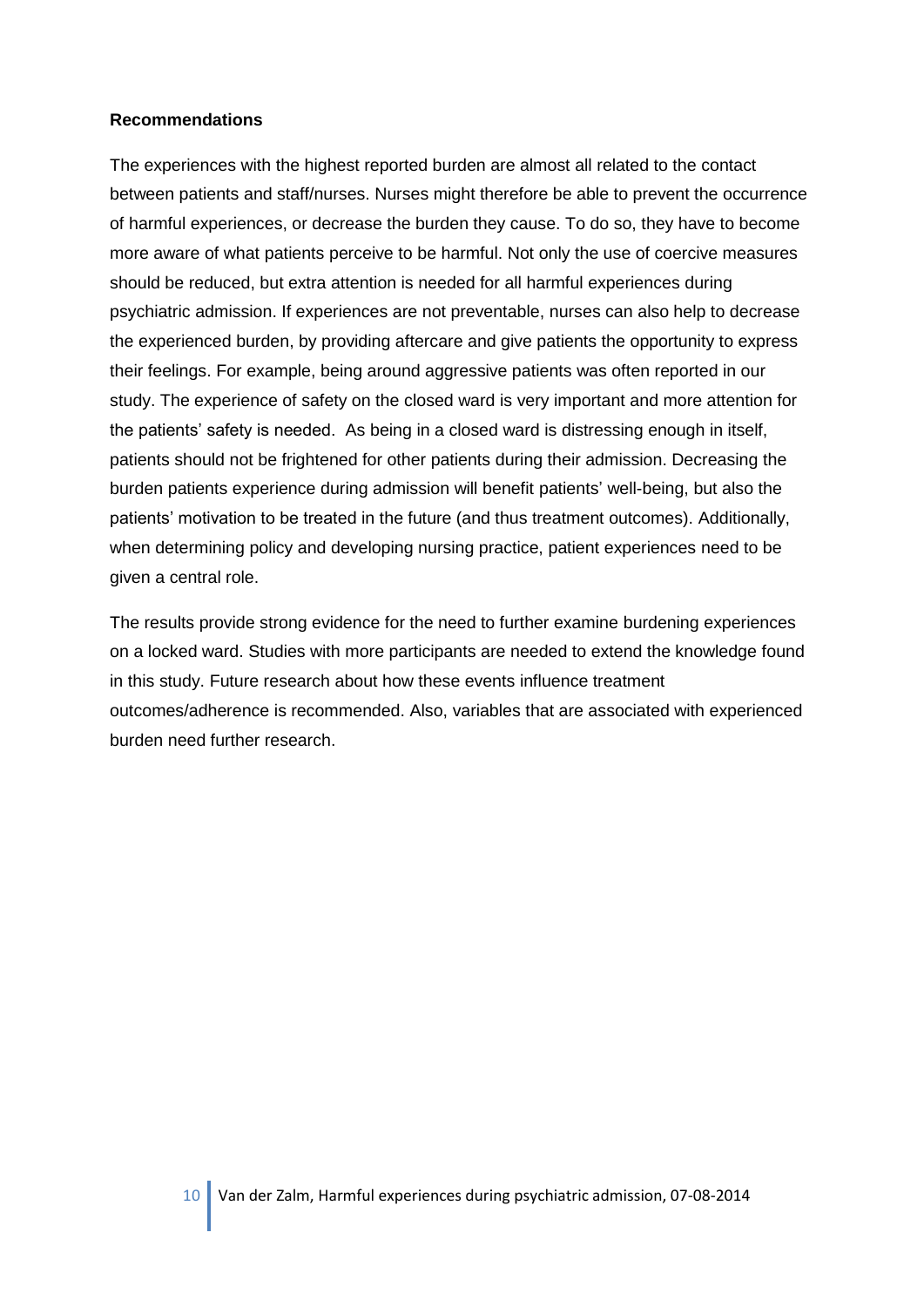### **Recommendations**

The experiences with the highest reported burden are almost all related to the contact between patients and staff/nurses. Nurses might therefore be able to prevent the occurrence of harmful experiences, or decrease the burden they cause. To do so, they have to become more aware of what patients perceive to be harmful. Not only the use of coercive measures should be reduced, but extra attention is needed for all harmful experiences during psychiatric admission. If experiences are not preventable, nurses can also help to decrease the experienced burden, by providing aftercare and give patients the opportunity to express their feelings. For example, being around aggressive patients was often reported in our study. The experience of safety on the closed ward is very important and more attention for the patients' safety is needed. As being in a closed ward is distressing enough in itself, patients should not be frightened for other patients during their admission. Decreasing the burden patients experience during admission will benefit patients' well-being, but also the patients' motivation to be treated in the future (and thus treatment outcomes). Additionally, when determining policy and developing nursing practice, patient experiences need to be given a central role.

The results provide strong evidence for the need to further examine burdening experiences on a locked ward. Studies with more participants are needed to extend the knowledge found in this study. Future research about how these events influence treatment outcomes/adherence is recommended. Also, variables that are associated with experienced burden need further research.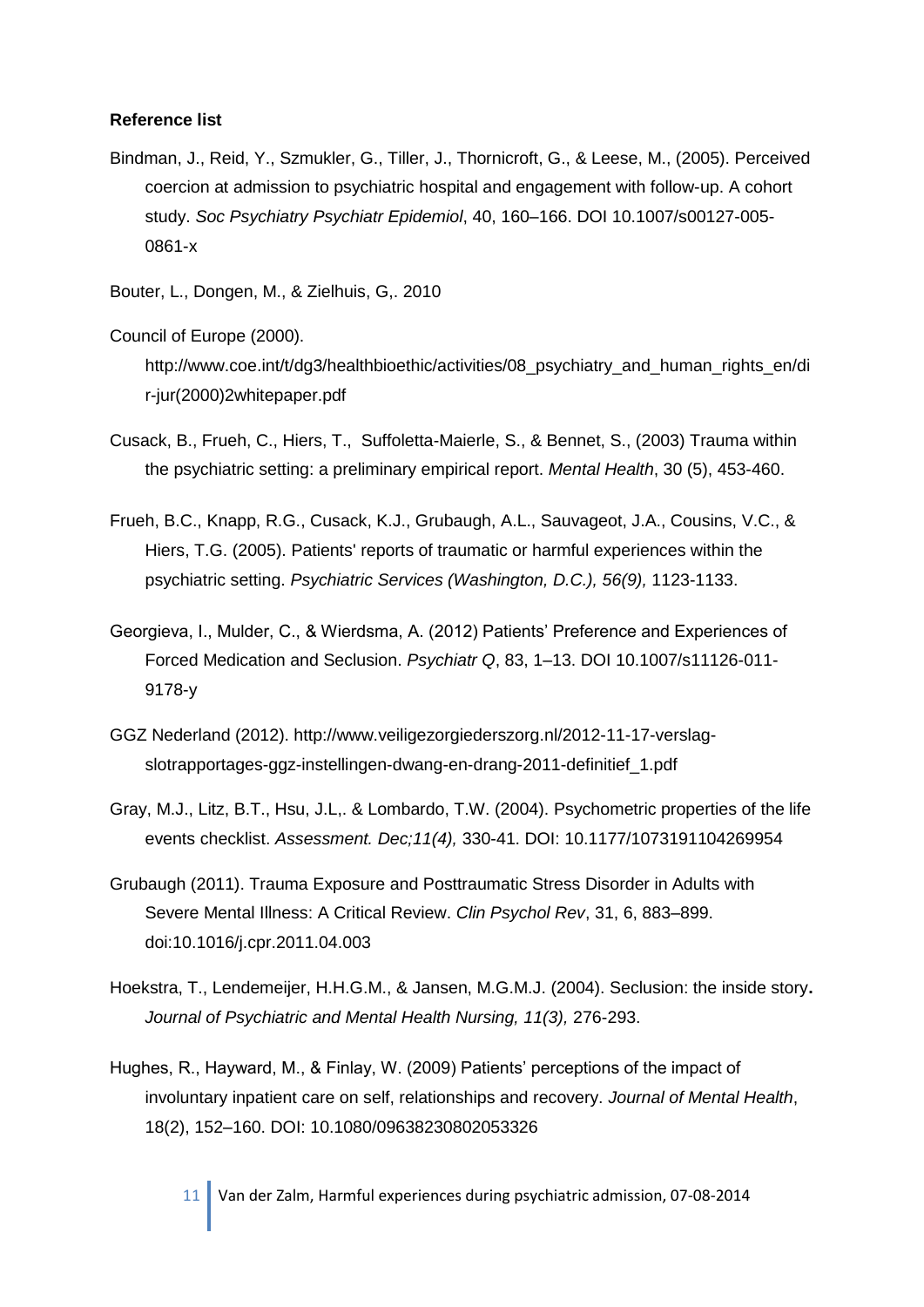#### **Reference list**

Bindman, J., Reid, Y., Szmukler, G., Tiller, J., Thornicroft, G., & Leese, M., (2005). Perceived coercion at admission to psychiatric hospital and engagement with follow-up. A cohort study. *Soc Psychiatry Psychiatr Epidemiol*, 40, 160–166. DOI 10.1007/s00127-005- 0861-x

Bouter, L., Dongen, M., & Zielhuis, G,. 2010

Council of Europe (2000).

[http://www.coe.int/t/dg3/healthbioethic/activities/08\\_psychiatry\\_and\\_human\\_rights\\_en/di](http://www.coe.int/t/dg3/healthbioethic/activities/08_psychiatry_and_human_rights_en/dir-jur(2000)2whitepaper.pdf) [r-jur\(2000\)2whitepaper.pdf](http://www.coe.int/t/dg3/healthbioethic/activities/08_psychiatry_and_human_rights_en/dir-jur(2000)2whitepaper.pdf)

- Cusack, B., Frueh, C., Hiers, T., Suffoletta-Maierle, S., & Bennet, S., (2003) Trauma within the psychiatric setting: a preliminary empirical report. *Mental Health*, 30 (5), 453-460.
- Frueh, B.C., Knapp, R.G., Cusack, K.J., Grubaugh, A.L., Sauvageot, J.A., Cousins, V.C., & Hiers, T.G. (2005). Patients' reports of traumatic or harmful experiences within the psychiatric setting. *Psychiatric Services (Washington, D.C.), 56(9),* 1123-1133.
- Georgieva, I., Mulder, C., & Wierdsma, A. (2012) Patients' Preference and Experiences of Forced Medication and Seclusion. *Psychiatr Q*, 83, 1–13. DOI 10.1007/s11126-011- 9178-y
- GGZ Nederland (2012). [http://www.veiligezorgiederszorg.nl/2012-11-17-verslag](http://www.veiligezorgiederszorg.nl/2012-11-17-verslag-slotrapportages-ggz-instellingen-dwang-en-drang-2011-definitief_1.pdf)[slotrapportages-ggz-instellingen-dwang-en-drang-2011-definitief\\_1.pdf](http://www.veiligezorgiederszorg.nl/2012-11-17-verslag-slotrapportages-ggz-instellingen-dwang-en-drang-2011-definitief_1.pdf)
- Gray, M.J., Litz, B.T., Hsu, J.L,. & Lombardo, T.W. (2004). [Psychometric properties of the life](http://www.ncbi.nlm.nih.gov/pubmed/15486169)  [events checklist.](http://www.ncbi.nlm.nih.gov/pubmed/15486169) *Assessment. Dec;11(4),* 330-41. DOI: 10.1177/1073191104269954
- Grubaugh (2011). Trauma Exposure and Posttraumatic Stress Disorder in Adults with Severe Mental Illness: A Critical Review. *Clin Psychol Rev*, 31, 6, 883–899. doi:10.1016/j.cpr.2011.04.003
- Hoekstra, T., Lendemeijer, H.H.G.M., & Jansen, M.G.M.J. (2004). Seclusion: the inside story**.**  *Journal of Psychiatric and Mental Health Nursing, 11(3),* 276-293.
- Hughes, R., Hayward, M., & Finlay, W. (2009) Patients' perceptions of the impact of involuntary inpatient care on self, relationships and recovery. *Journal of Mental Health*, 18(2), 152–160. DOI: 10.1080/09638230802053326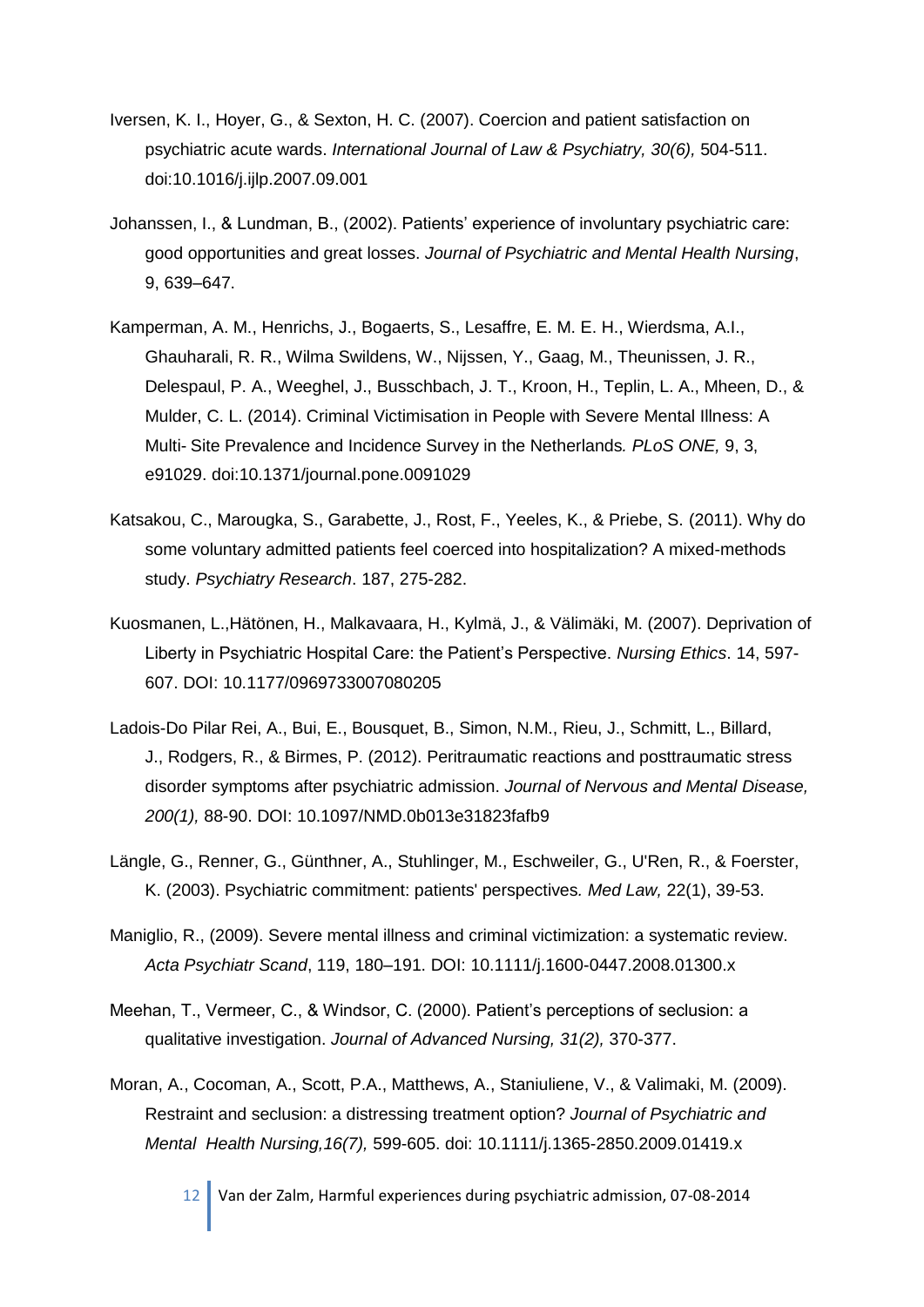- Iversen, K. I., Hoyer, G., & Sexton, H. C. (2007). Coercion and patient satisfaction on psychiatric acute wards. *International Journal of Law & Psychiatry, 30(6),* 504-511. doi:10.1016/j.ijlp.2007.09.001
- Johanssen, I., & Lundman, B., (2002). Patients' experience of involuntary psychiatric care: good opportunities and great losses. *Journal of Psychiatric and Mental Health Nursing*, 9, 639–647.
- Kamperman, A. M., Henrichs, J., Bogaerts, S., Lesaffre, E. M. E. H., Wierdsma, A.I., Ghauharali, R. R., Wilma Swildens, W., Nijssen, Y., Gaag, M., Theunissen, J. R., Delespaul, P. A., Weeghel, J., Busschbach, J. T., Kroon, H., Teplin, L. A., Mheen, D., & Mulder, C. L. (2014). Criminal Victimisation in People with Severe Mental Illness: A Multi- Site Prevalence and Incidence Survey in the Netherlands*. PLoS ONE,* 9, 3, e91029. doi:10.1371/journal.pone.0091029
- Katsakou, C., Marougka, S., Garabette, J., Rost, F., Yeeles, K., & Priebe, S. (2011). Why do some voluntary admitted patients feel coerced into hospitalization? A mixed-methods study. *Psychiatry Research*. 187, 275-282.
- Kuosmanen, L.,Hätönen, H., Malkavaara, H., Kylmä, J., & Välimäki, M. (2007). Deprivation of Liberty in Psychiatric Hospital Care: the Patient's Perspective. *Nursing Ethics*. 14, 597- 607. DOI: 10.1177/0969733007080205
- [Ladois-Do Pilar Rei, A.](http://www.ncbi.nlm.nih.gov/pubmed?term=Ladois-Do%20Pilar%20Rei%20A%5BAuthor%5D&cauthor=true&cauthor_uid=22210368), [Bui, E.](http://www.ncbi.nlm.nih.gov/pubmed?term=Bui%20E%5BAuthor%5D&cauthor=true&cauthor_uid=22210368), [Bousquet, B.](http://www.ncbi.nlm.nih.gov/pubmed?term=Bousquet%20B%5BAuthor%5D&cauthor=true&cauthor_uid=22210368), [Simon, N.M.](http://www.ncbi.nlm.nih.gov/pubmed?term=Simon%20NM%5BAuthor%5D&cauthor=true&cauthor_uid=22210368), [Rieu, J.](http://www.ncbi.nlm.nih.gov/pubmed?term=Rieu%20J%5BAuthor%5D&cauthor=true&cauthor_uid=22210368), [Schmitt, L.](http://www.ncbi.nlm.nih.gov/pubmed?term=Schmitt%20L%5BAuthor%5D&cauthor=true&cauthor_uid=22210368), [Billard,](http://www.ncbi.nlm.nih.gov/pubmed?term=Billard%20J%5BAuthor%5D&cauthor=true&cauthor_uid=22210368)  [J.](http://www.ncbi.nlm.nih.gov/pubmed?term=Billard%20J%5BAuthor%5D&cauthor=true&cauthor_uid=22210368), [Rodgers, R.](http://www.ncbi.nlm.nih.gov/pubmed?term=Rodgers%20R%5BAuthor%5D&cauthor=true&cauthor_uid=22210368), & [Birmes, P.](http://www.ncbi.nlm.nih.gov/pubmed?term=Birmes%20P%5BAuthor%5D&cauthor=true&cauthor_uid=22210368) (2012). Peritraumatic reactions and posttraumatic stress disorder symptoms after psychiatric admission. *Journal of Nervous and Mental Disease, 200(1),* 88-90. DOI: 10.1097/NMD.0b013e31823fafb9
- [Längle, G.](http://www.ncbi.nlm.nih.gov/pubmed?term=L%C3%A4ngle%20G%5BAuthor%5D&cauthor=true&cauthor_uid=12809341), [Renner, G.](http://www.ncbi.nlm.nih.gov/pubmed?term=Renner%20G%5BAuthor%5D&cauthor=true&cauthor_uid=12809341), [Günthner, A.](http://www.ncbi.nlm.nih.gov/pubmed?term=G%C3%BCnthner%20A%5BAuthor%5D&cauthor=true&cauthor_uid=12809341), [Stuhlinger, M.](http://www.ncbi.nlm.nih.gov/pubmed?term=Stuhlinger%20M%5BAuthor%5D&cauthor=true&cauthor_uid=12809341), [Eschweiler, G.](http://www.ncbi.nlm.nih.gov/pubmed?term=Eschweiler%20G%5BAuthor%5D&cauthor=true&cauthor_uid=12809341), [U'Ren, R.](http://www.ncbi.nlm.nih.gov/pubmed?term=U), & [Foerster,](http://www.ncbi.nlm.nih.gov/pubmed?term=Foerster%20K%5BAuthor%5D&cauthor=true&cauthor_uid=12809341)  [K.](http://www.ncbi.nlm.nih.gov/pubmed?term=Foerster%20K%5BAuthor%5D&cauthor=true&cauthor_uid=12809341) (2003). Psychiatric commitment: patients' perspectives*. [Med Law,](http://www.ncbi.nlm.nih.gov/pubmed/12809341)* 22(1), 39-53.
- Maniglio, R., (2009). Severe mental illness and criminal victimization: a systematic review. *Acta Psychiatr Scand*, 119, 180–191. DOI: 10.1111/j.1600-0447.2008.01300.x
- Meehan, T., Vermeer, C., & Windsor, C. (2000). Patient's perceptions of seclusion: a qualitative investigation. *Journal of Advanced Nursing, 31(2),* 370-377.
- Moran, A., Cocoman, A., Scott, P.A., Matthews, A., Staniuliene, V., & Valimaki, M. (2009). [Restraint and seclusion: a distressing treatment option?](http://www.ncbi.nlm.nih.gov/pubmed/19689553) *Journal of Psychiatric and Mental Health Nursing,16(7),* 599-605. doi: 10.1111/j.1365-2850.2009.01419.x
	- 12 Van der Zalm, Harmful experiences during psychiatric admission, 07-08-2014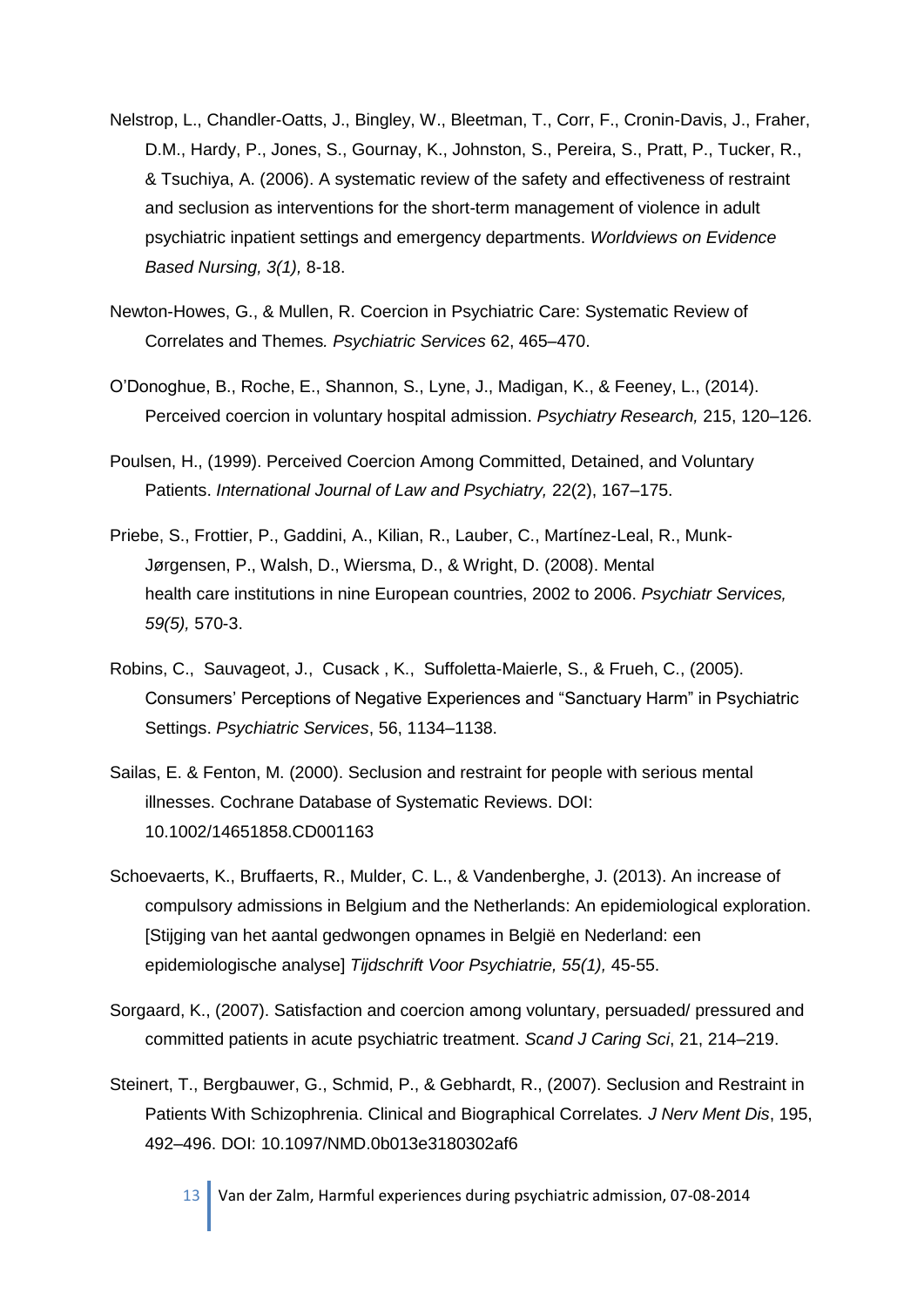- Nelstrop, L., Chandler-Oatts, J., Bingley, W., Bleetman, T., Corr, F., Cronin-Davis, J., Fraher, D.M., Hardy, P., Jones, S., Gournay, K., Johnston, S., Pereira, S., Pratt, P., Tucker, R., & Tsuchiya, A. (2006). [A systematic review of the safety and effectiveness of restraint](http://www.ncbi.nlm.nih.gov/pubmed/17040518)  [and seclusion as interventions for the short-term management of violence in adult](http://www.ncbi.nlm.nih.gov/pubmed/17040518)  [psychiatric inpatient settings and emergency departments.](http://www.ncbi.nlm.nih.gov/pubmed/17040518) *Worldviews on Evidence Based Nursing, 3(1),* 8-18.
- Newton-Howes, G., & Mullen, R. Coercion in Psychiatric Care: Systematic Review of Correlates and Themes*. Psychiatric Services* 62, 465–470.
- O'Donoghue, B., Roche, E., Shannon, S., Lyne, J., Madigan, K., & Feeney, L., (2014). Perceived coercion in voluntary hospital admission. *Psychiatry Research,* 215, 120–126.
- Poulsen, H., (1999). Perceived Coercion Among Committed, Detained, and Voluntary Patients. *International Journal of Law and Psychiatry,* 22(2), 167–175.
- Priebe, S., Frottier, P., Gaddini, A., Kilian, R., Lauber, C., Martínez-Leal, R., Munk-Jørgensen, P., Walsh, D., Wiersma, D., & Wright, D. (2008). [Mental](http://www.ncbi.nlm.nih.gov/pubmed/18451020)  health care institutions [in nine European countries, 2002 to 2006.](http://www.ncbi.nlm.nih.gov/pubmed/18451020) *Psychiatr Services, 59(5),* 570-3.
- Robins, C., Sauvageot, J., Cusack , K., Suffoletta-Maierle, S., & Frueh, C., (2005). Consumers' Perceptions of Negative Experiences and "Sanctuary Harm" in Psychiatric Settings. *Psychiatric Services*, 56, 1134–1138.
- Sailas, E. & Fenton, M. (2000). Seclusion and restraint for people with serious mental illnesses. Cochrane Database of Systematic Reviews. DOI: 10.1002/14651858.CD001163
- Schoevaerts, K., Bruffaerts, R., Mulder, C. L., & Vandenberghe, J. (2013). An increase of compulsory admissions in Belgium and the Netherlands: An epidemiological exploration. [Stijging van het aantal gedwongen opnames in België en Nederland: een epidemiologische analyse] *Tijdschrift Voor Psychiatrie, 55(1),* 45-55.
- Sorgaard, K., (2007). Satisfaction and coercion among voluntary, persuaded/ pressured and committed patients in acute psychiatric treatment. *Scand J Caring Sci*, 21, 214–219.
- Steinert, T., Bergbauwer, G., Schmid, P., & Gebhardt, R., (2007). Seclusion and Restraint in Patients With Schizophrenia. Clinical and Biographical Correlates*. J Nerv Ment Dis*, 195, 492–496. DOI: 10.1097/NMD.0b013e3180302af6
	- 13 Van der Zalm, Harmful experiences during psychiatric admission, 07-08-2014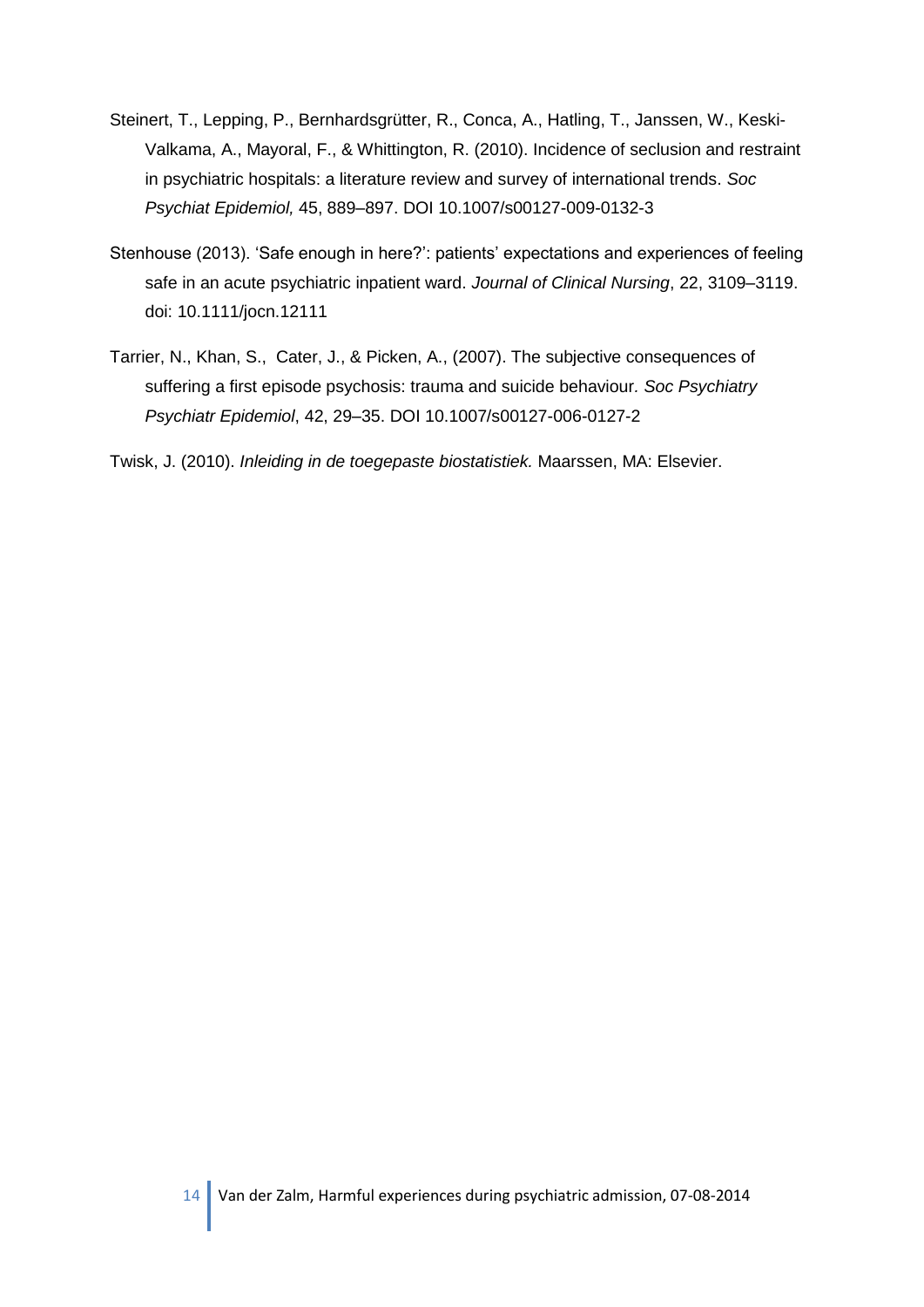- Steinert, T., Lepping, P., Bernhardsgrütter, R., Conca, A., Hatling, T., Janssen, W., Keski-Valkama, A., Mayoral, F., & Whittington, R. (2010). Incidence of seclusion and restraint in psychiatric hospitals: a literature review and survey of international trends. *Soc Psychiat Epidemiol,* 45, 889–897. DOI 10.1007/s00127-009-0132-3
- Stenhouse (2013). 'Safe enough in here?': patients' expectations and experiences of feeling safe in an acute psychiatric inpatient ward. *Journal of Clinical Nursing*, 22, 3109–3119. doi: 10.1111/jocn.12111
- Tarrier, N., Khan, S., Cater, J., & Picken, A., (2007). The subjective consequences of suffering a first episode psychosis: trauma and suicide behaviour*. Soc Psychiatry Psychiatr Epidemiol*, 42, 29–35. DOI 10.1007/s00127-006-0127-2

Twisk, J. (2010). *Inleiding in de toegepaste biostatistiek.* Maarssen, MA: Elsevier.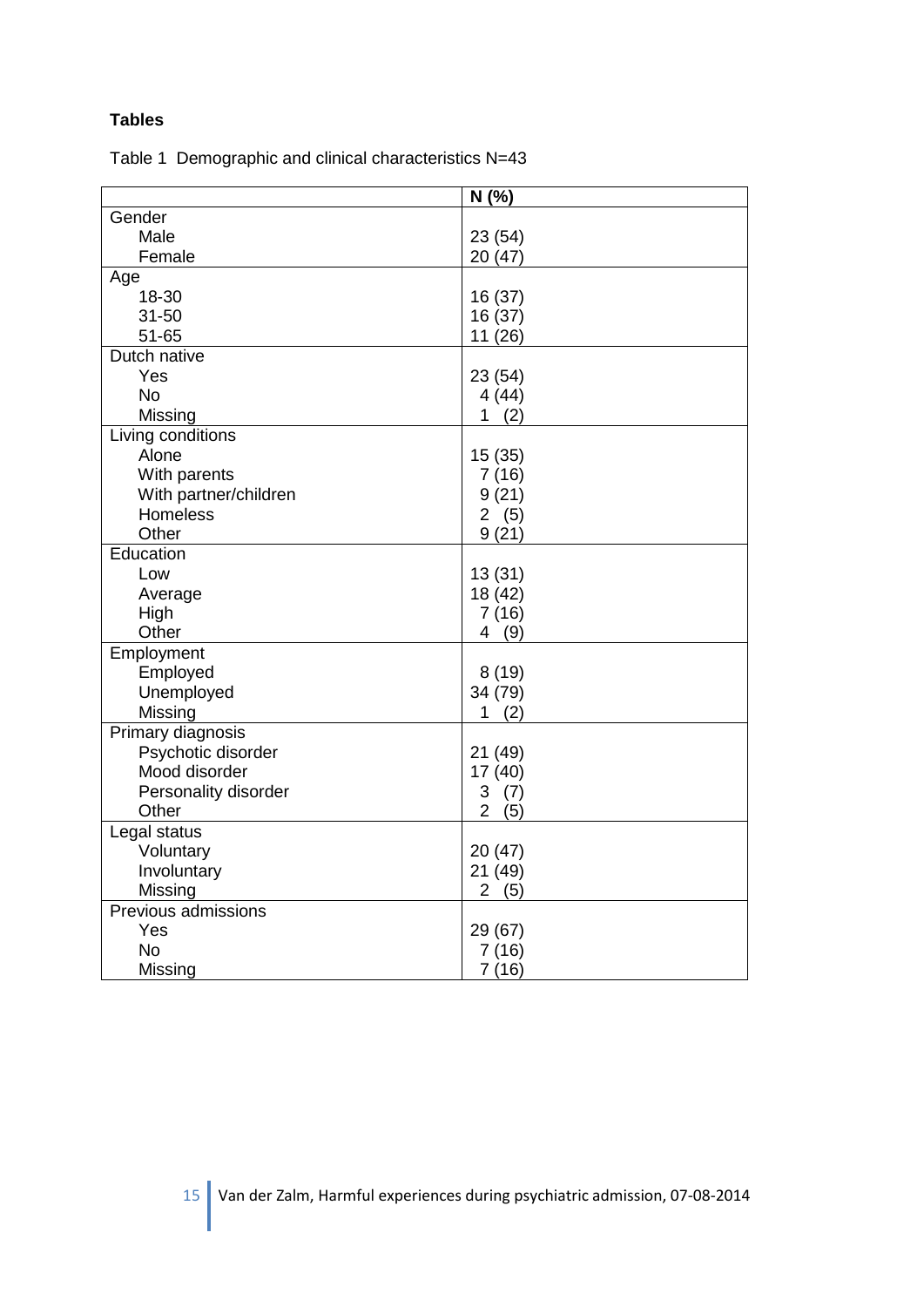# **Tables**

|  |  |  | Table 1 Demographic and clinical characteristics N=43 |  |
|--|--|--|-------------------------------------------------------|--|
|--|--|--|-------------------------------------------------------|--|

|                       | N(% )                 |
|-----------------------|-----------------------|
| Gender                |                       |
| Male                  | 23(54)                |
| Female                | 20 (47)               |
| Age                   |                       |
| 18-30                 | 16 (37)               |
| $31 - 50$             | 16 (37)               |
| 51-65                 | 11 (26)               |
| Dutch native          |                       |
| Yes                   | 23 (54)               |
| <b>No</b>             | 4(44)                 |
| Missing               | 1<br>(2)              |
| Living conditions     |                       |
| Alone                 | 15 (35)               |
| With parents          | 7(16)                 |
| With partner/children | 9(21)                 |
| Homeless              | 2(5)                  |
| Other                 | 9(21)                 |
| Education             |                       |
| Low                   | 13(31)                |
| Average               | 18 (42)               |
| High                  | 7(16)                 |
| Other                 | 4(9)                  |
| Employment            |                       |
| Employed              | 8(19)                 |
| Unemployed            | 34 (79)               |
| Missing               | 1(2)                  |
| Primary diagnosis     |                       |
| Psychotic disorder    | 21 (49)               |
| Mood disorder         | 17 (40)               |
| Personality disorder  | 3(7)                  |
| Other                 | $\overline{2}$<br>(5) |
| Legal status          |                       |
| Voluntary             | 20(47)                |
| Involuntary           | 21 (49)               |
| Missing               | $\overline{2}$<br>(5) |
| Previous admissions   |                       |
| Yes                   | 29 (67)               |
| <b>No</b>             | 7(16)                 |
| Missing               | 7(16)                 |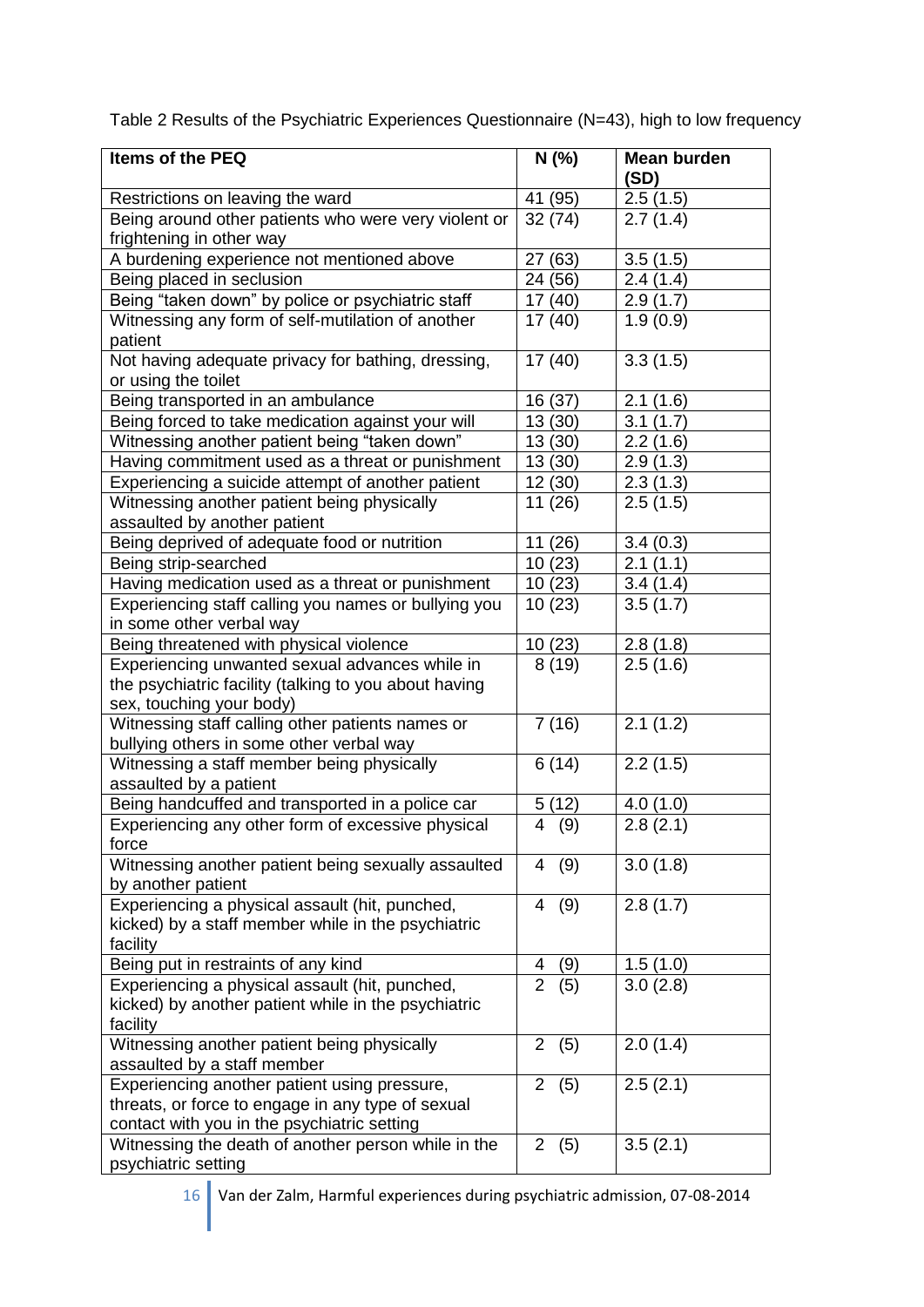Table 2 Results of the Psychiatric Experiences Questionnaire (N=43), high to low frequency

| Items of the PEQ                                                                                                                                 | N(% )                 | <b>Mean burden</b><br>(SD) |
|--------------------------------------------------------------------------------------------------------------------------------------------------|-----------------------|----------------------------|
| Restrictions on leaving the ward                                                                                                                 | 41 (95)               | 2.5(1.5)                   |
| Being around other patients who were very violent or                                                                                             | 32(74)                | 2.7(1.4)                   |
| frightening in other way                                                                                                                         |                       |                            |
| A burdening experience not mentioned above                                                                                                       | 27 (63)               | 3.5(1.5)                   |
| Being placed in seclusion                                                                                                                        | 24 (56)               | 2.4(1.4)                   |
| Being "taken down" by police or psychiatric staff                                                                                                | 17(40)                | 2.9(1.7)                   |
| Witnessing any form of self-mutilation of another<br>patient                                                                                     | 17(40)                | 1.9(0.9)                   |
| Not having adequate privacy for bathing, dressing,<br>or using the toilet                                                                        | 17(40)                | 3.3(1.5)                   |
| Being transported in an ambulance                                                                                                                | 16 (37)               | 2.1(1.6)                   |
| Being forced to take medication against your will                                                                                                | 13 (30)               | 3.1(1.7)                   |
| Witnessing another patient being "taken down"                                                                                                    | 13 (30)               | 2.2(1.6)                   |
| Having commitment used as a threat or punishment                                                                                                 | 13 (30)               | 2.9(1.3)                   |
| Experiencing a suicide attempt of another patient                                                                                                | 12(30)                | 2.3(1.3)                   |
| Witnessing another patient being physically<br>assaulted by another patient                                                                      | 11(26)                | 2.5(1.5)                   |
| Being deprived of adequate food or nutrition                                                                                                     | 11 (26)               | 3.4(0.3)                   |
| Being strip-searched                                                                                                                             | 10(23)                | 2.1(1.1)                   |
| Having medication used as a threat or punishment                                                                                                 | 10(23)                | 3.4(1.4)                   |
| Experiencing staff calling you names or bullying you<br>in some other verbal way                                                                 | 10(23)                | 3.5(1.7)                   |
| Being threatened with physical violence                                                                                                          | 10(23)                | 2.8(1.8)                   |
| Experiencing unwanted sexual advances while in<br>the psychiatric facility (talking to you about having<br>sex, touching your body)              | 8(19)                 | 2.5(1.6)                   |
| Witnessing staff calling other patients names or<br>bullying others in some other verbal way                                                     | 7(16)                 | 2.1(1.2)                   |
| Witnessing a staff member being physically<br>assaulted by a patient                                                                             | 6(14)                 | 2.2(1.5)                   |
| Being handcuffed and transported in a police car                                                                                                 | (12)<br>5             | 4.0(1.0)                   |
| Experiencing any other form of excessive physical<br>force                                                                                       | $\overline{4}$<br>(9) | 2.8(2.1)                   |
| Witnessing another patient being sexually assaulted<br>by another patient                                                                        | (9)<br>4              | 3.0(1.8)                   |
| Experiencing a physical assault (hit, punched,<br>kicked) by a staff member while in the psychiatric<br>facility                                 | (9)<br>4              | 2.8(1.7)                   |
| Being put in restraints of any kind                                                                                                              | (9)<br>4              | 1.5(1.0)                   |
| Experiencing a physical assault (hit, punched,<br>kicked) by another patient while in the psychiatric<br>facility                                | $\mathbf{2}$<br>(5)   | 3.0(2.8)                   |
| Witnessing another patient being physically<br>assaulted by a staff member                                                                       | (5)<br>$\overline{2}$ | 2.0(1.4)                   |
| Experiencing another patient using pressure,<br>threats, or force to engage in any type of sexual<br>contact with you in the psychiatric setting | $\overline{2}$<br>(5) | 2.5(2.1)                   |
| Witnessing the death of another person while in the<br>psychiatric setting                                                                       | $\overline{2}$<br>(5) | 3.5(2.1)                   |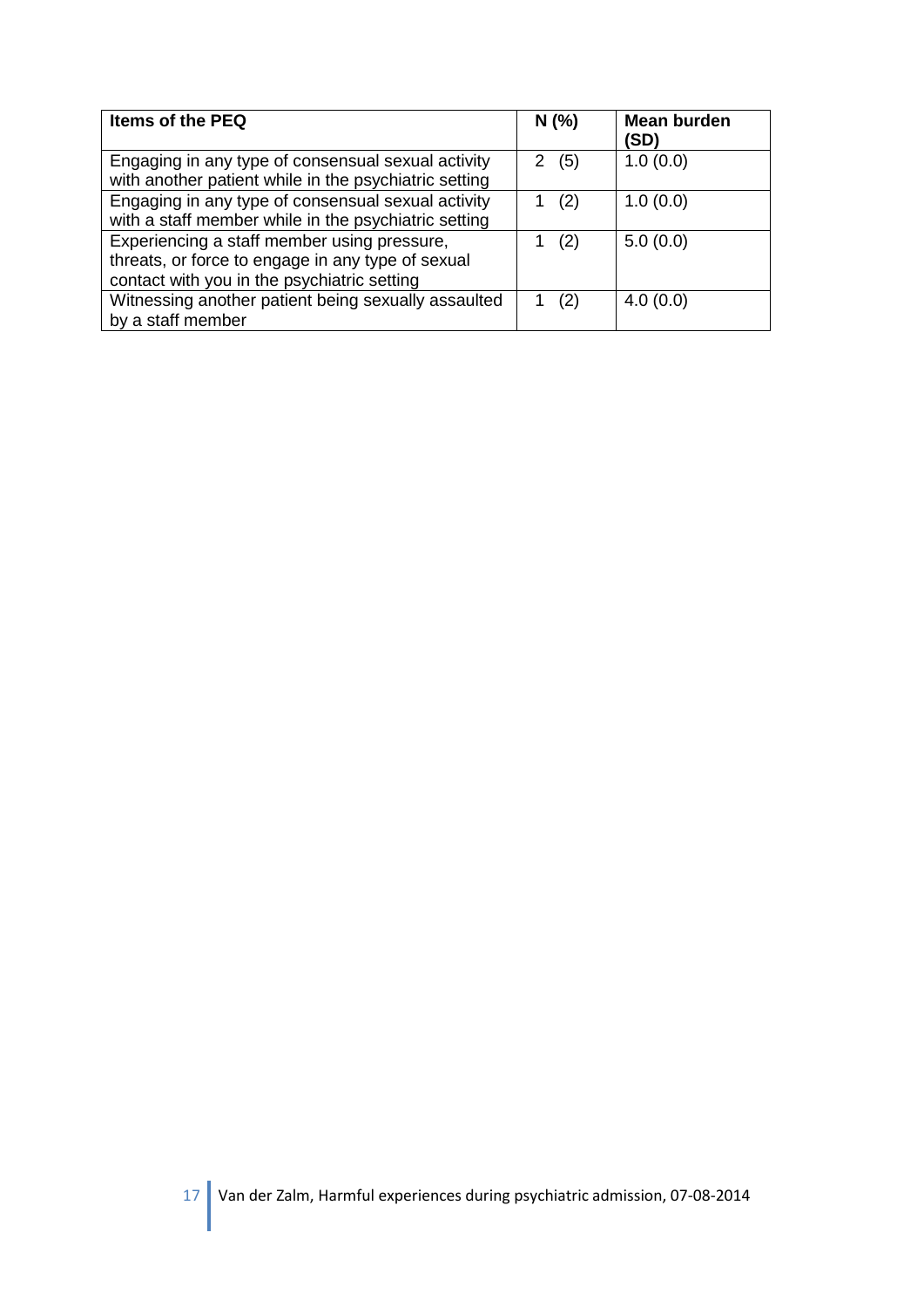| Items of the PEQ                                                                                                                                | N(%      | Mean burden<br>(SD) |
|-------------------------------------------------------------------------------------------------------------------------------------------------|----------|---------------------|
| Engaging in any type of consensual sexual activity<br>with another patient while in the psychiatric setting                                     | (5)<br>2 | 1.0(0.0)            |
| Engaging in any type of consensual sexual activity<br>with a staff member while in the psychiatric setting                                      | (2)      | 1.0(0.0)            |
| Experiencing a staff member using pressure,<br>threats, or force to engage in any type of sexual<br>contact with you in the psychiatric setting | (2)      | 5.0(0.0)            |
| Witnessing another patient being sexually assaulted<br>by a staff member                                                                        | (2)      | 4.0(0.0)            |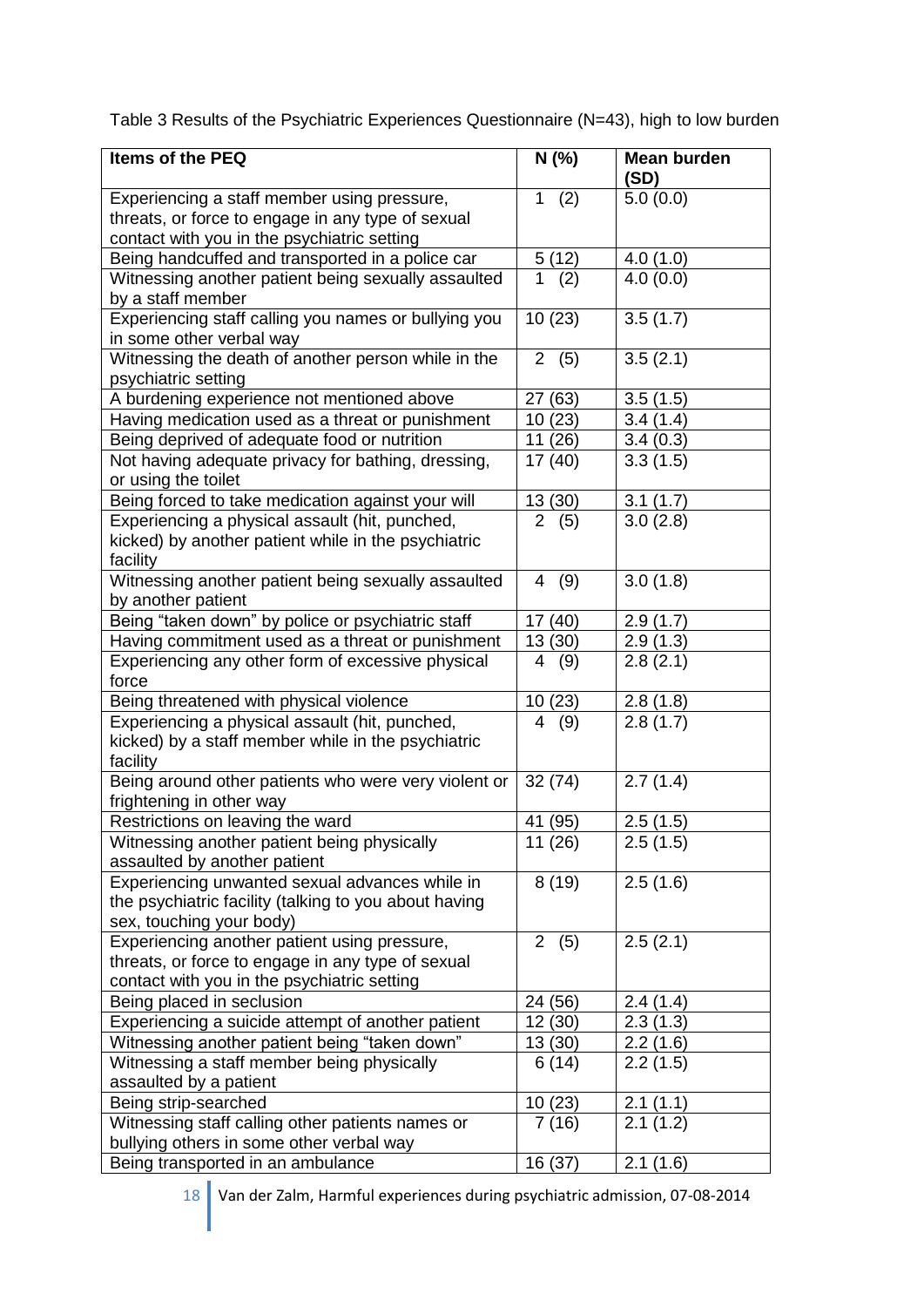Table 3 Results of the Psychiatric Experiences Questionnaire (N=43), high to low burden

| <b>Items of the PEQ</b>                                                                                                                          | N(% )                 | <b>Mean burden</b><br>(SD) |
|--------------------------------------------------------------------------------------------------------------------------------------------------|-----------------------|----------------------------|
| Experiencing a staff member using pressure,<br>threats, or force to engage in any type of sexual<br>contact with you in the psychiatric setting  | (2)<br>1              | 5.0(0.0)                   |
| Being handcuffed and transported in a police car                                                                                                 | 5(12)                 | 4.0(1.0)                   |
| Witnessing another patient being sexually assaulted<br>by a staff member                                                                         | 1<br>(2)              | 4.0(0.0)                   |
| Experiencing staff calling you names or bullying you<br>in some other verbal way                                                                 | 10(23)                | 3.5(1.7)                   |
| Witnessing the death of another person while in the<br>psychiatric setting                                                                       | 2(5)                  | 3.5(2.1)                   |
| A burdening experience not mentioned above                                                                                                       | 27 (63)               | 3.5(1.5)                   |
| Having medication used as a threat or punishment                                                                                                 | 10(23)                | 3.4(1.4)                   |
| Being deprived of adequate food or nutrition                                                                                                     | 11 (26)               | 3.4(0.3)                   |
| Not having adequate privacy for bathing, dressing,<br>or using the toilet                                                                        | 17(40)                | 3.3(1.5)                   |
| Being forced to take medication against your will                                                                                                | 13 (30)               | 3.1(1.7)                   |
| Experiencing a physical assault (hit, punched,<br>kicked) by another patient while in the psychiatric<br>facility                                | $\overline{2}$<br>(5) | 3.0(2.8)                   |
| Witnessing another patient being sexually assaulted<br>by another patient                                                                        | 4<br>(9)              | 3.0(1.8)                   |
| Being "taken down" by police or psychiatric staff                                                                                                | 17(40)                | 2.9(1.7)                   |
| Having commitment used as a threat or punishment                                                                                                 | 13 (30)               | 2.9(1.3)                   |
| Experiencing any other form of excessive physical<br>force                                                                                       | (9)<br>4              | 2.8(2.1)                   |
| Being threatened with physical violence                                                                                                          | 10(23)                | 2.8(1.8)                   |
| Experiencing a physical assault (hit, punched,<br>kicked) by a staff member while in the psychiatric<br>facility                                 | (9)<br>4              | 2.8(1.7)                   |
| Being around other patients who were very violent or<br>frightening in other way                                                                 | 32(74)                | 2.7(1.4)                   |
| Restrictions on leaving the ward                                                                                                                 | 41 (95)               | 2.5(1.5)                   |
| Witnessing another patient being physically<br>assaulted by another patient                                                                      | 11 (26)               | 2.5(1.5)                   |
| Experiencing unwanted sexual advances while in<br>the psychiatric facility (talking to you about having<br>sex, touching your body)              | 8(19)                 | 2.5(1.6)                   |
| Experiencing another patient using pressure,<br>threats, or force to engage in any type of sexual<br>contact with you in the psychiatric setting | (5)<br>$\overline{2}$ | 2.5(2.1)                   |
| Being placed in seclusion                                                                                                                        | 24 (56)               | 2.4(1.4)                   |
| Experiencing a suicide attempt of another patient                                                                                                | 12 (30)               | 2.3(1.3)                   |
| Witnessing another patient being "taken down"                                                                                                    | 13 (30)               | 2.2(1.6)                   |
| Witnessing a staff member being physically<br>assaulted by a patient                                                                             | 6(14)                 | 2.2(1.5)                   |
| Being strip-searched                                                                                                                             | 10(23)                | 2.1(1.1)                   |
| Witnessing staff calling other patients names or<br>bullying others in some other verbal way                                                     | 7(16)                 | 2.1(1.2)                   |
| Being transported in an ambulance                                                                                                                | 16 (37)               | 2.1(1.6)                   |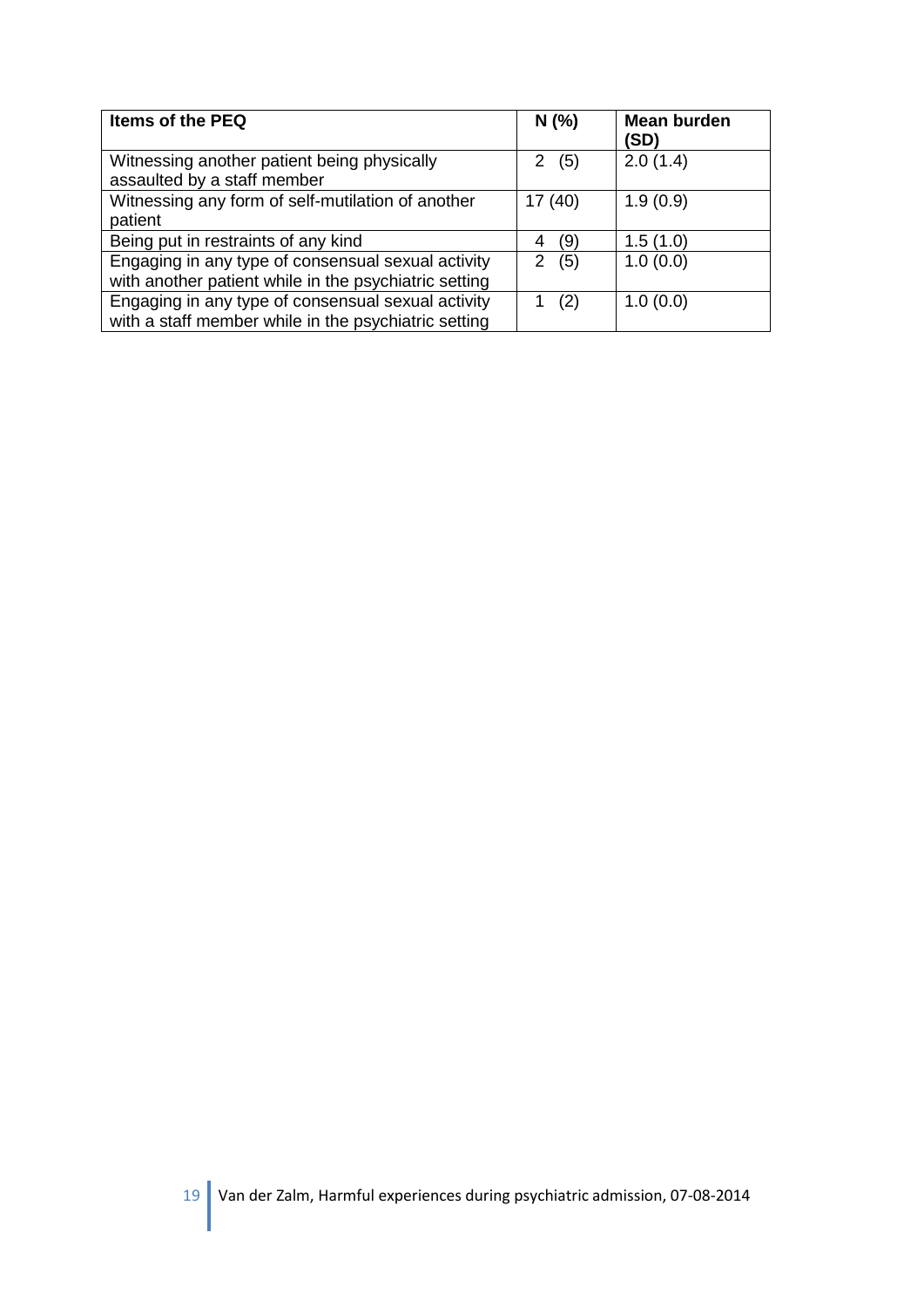| Items of the PEQ                                                                                            | N(%      | Mean burden<br>(SD) |
|-------------------------------------------------------------------------------------------------------------|----------|---------------------|
| Witnessing another patient being physically<br>assaulted by a staff member                                  | (5)<br>2 | 2.0(1.4)            |
| Witnessing any form of self-mutilation of another<br>patient                                                | 17(40)   | 1.9(0.9)            |
| Being put in restraints of any kind                                                                         | (9)<br>4 | 1.5(1.0)            |
| Engaging in any type of consensual sexual activity<br>with another patient while in the psychiatric setting | (5)<br>2 | 1.0(0.0)            |
| Engaging in any type of consensual sexual activity<br>with a staff member while in the psychiatric setting  | (2)      | 1.0(0.0)            |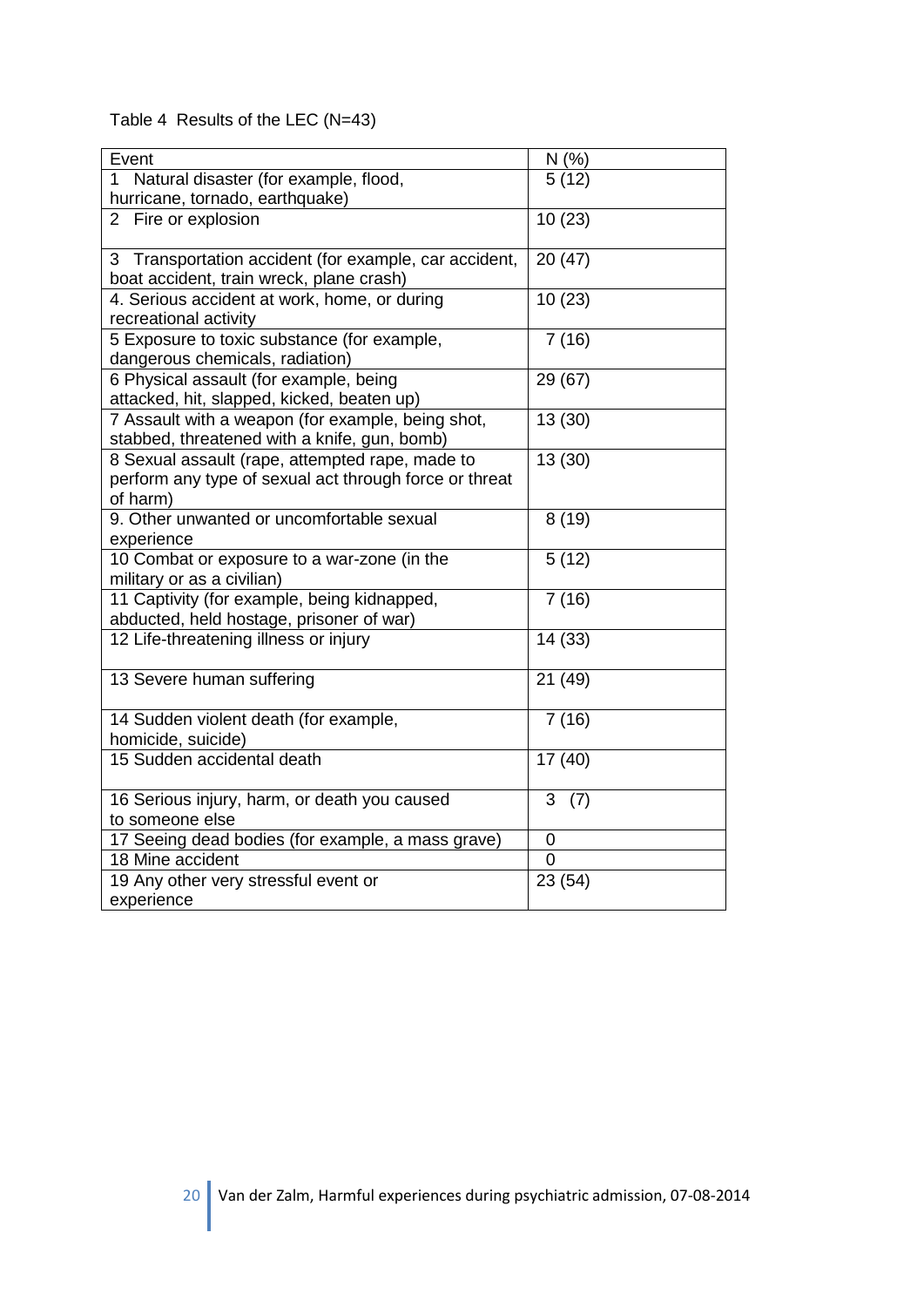Table 4 Results of the LEC (N=43)

| Event                                                                                                                                                                                                                                                                                                                                                                                                                                                                                                                                                                                                                                                                                                                                                                                           | N(% )                                                                                                  |
|-------------------------------------------------------------------------------------------------------------------------------------------------------------------------------------------------------------------------------------------------------------------------------------------------------------------------------------------------------------------------------------------------------------------------------------------------------------------------------------------------------------------------------------------------------------------------------------------------------------------------------------------------------------------------------------------------------------------------------------------------------------------------------------------------|--------------------------------------------------------------------------------------------------------|
| Natural disaster (for example, flood,<br>1                                                                                                                                                                                                                                                                                                                                                                                                                                                                                                                                                                                                                                                                                                                                                      | 5(12)                                                                                                  |
| hurricane, tornado, earthquake)                                                                                                                                                                                                                                                                                                                                                                                                                                                                                                                                                                                                                                                                                                                                                                 |                                                                                                        |
| 2 Fire or explosion                                                                                                                                                                                                                                                                                                                                                                                                                                                                                                                                                                                                                                                                                                                                                                             | 10(23)                                                                                                 |
| 3 Transportation accident (for example, car accident,                                                                                                                                                                                                                                                                                                                                                                                                                                                                                                                                                                                                                                                                                                                                           | 20 (47)                                                                                                |
| boat accident, train wreck, plane crash)                                                                                                                                                                                                                                                                                                                                                                                                                                                                                                                                                                                                                                                                                                                                                        |                                                                                                        |
| 4. Serious accident at work, home, or during                                                                                                                                                                                                                                                                                                                                                                                                                                                                                                                                                                                                                                                                                                                                                    | 10(23)                                                                                                 |
| recreational activity                                                                                                                                                                                                                                                                                                                                                                                                                                                                                                                                                                                                                                                                                                                                                                           |                                                                                                        |
| 5 Exposure to toxic substance (for example,                                                                                                                                                                                                                                                                                                                                                                                                                                                                                                                                                                                                                                                                                                                                                     | 7(16)                                                                                                  |
| dangerous chemicals, radiation)                                                                                                                                                                                                                                                                                                                                                                                                                                                                                                                                                                                                                                                                                                                                                                 |                                                                                                        |
| 6 Physical assault (for example, being                                                                                                                                                                                                                                                                                                                                                                                                                                                                                                                                                                                                                                                                                                                                                          | 29 (67)                                                                                                |
|                                                                                                                                                                                                                                                                                                                                                                                                                                                                                                                                                                                                                                                                                                                                                                                                 |                                                                                                        |
|                                                                                                                                                                                                                                                                                                                                                                                                                                                                                                                                                                                                                                                                                                                                                                                                 |                                                                                                        |
|                                                                                                                                                                                                                                                                                                                                                                                                                                                                                                                                                                                                                                                                                                                                                                                                 |                                                                                                        |
|                                                                                                                                                                                                                                                                                                                                                                                                                                                                                                                                                                                                                                                                                                                                                                                                 |                                                                                                        |
|                                                                                                                                                                                                                                                                                                                                                                                                                                                                                                                                                                                                                                                                                                                                                                                                 |                                                                                                        |
|                                                                                                                                                                                                                                                                                                                                                                                                                                                                                                                                                                                                                                                                                                                                                                                                 |                                                                                                        |
|                                                                                                                                                                                                                                                                                                                                                                                                                                                                                                                                                                                                                                                                                                                                                                                                 |                                                                                                        |
|                                                                                                                                                                                                                                                                                                                                                                                                                                                                                                                                                                                                                                                                                                                                                                                                 |                                                                                                        |
|                                                                                                                                                                                                                                                                                                                                                                                                                                                                                                                                                                                                                                                                                                                                                                                                 |                                                                                                        |
|                                                                                                                                                                                                                                                                                                                                                                                                                                                                                                                                                                                                                                                                                                                                                                                                 |                                                                                                        |
|                                                                                                                                                                                                                                                                                                                                                                                                                                                                                                                                                                                                                                                                                                                                                                                                 |                                                                                                        |
|                                                                                                                                                                                                                                                                                                                                                                                                                                                                                                                                                                                                                                                                                                                                                                                                 |                                                                                                        |
|                                                                                                                                                                                                                                                                                                                                                                                                                                                                                                                                                                                                                                                                                                                                                                                                 |                                                                                                        |
| 13 Severe human suffering                                                                                                                                                                                                                                                                                                                                                                                                                                                                                                                                                                                                                                                                                                                                                                       | 21 (49)                                                                                                |
|                                                                                                                                                                                                                                                                                                                                                                                                                                                                                                                                                                                                                                                                                                                                                                                                 | 7(16)                                                                                                  |
| homicide, suicide)                                                                                                                                                                                                                                                                                                                                                                                                                                                                                                                                                                                                                                                                                                                                                                              |                                                                                                        |
| 15 Sudden accidental death                                                                                                                                                                                                                                                                                                                                                                                                                                                                                                                                                                                                                                                                                                                                                                      | 17(40)                                                                                                 |
|                                                                                                                                                                                                                                                                                                                                                                                                                                                                                                                                                                                                                                                                                                                                                                                                 |                                                                                                        |
|                                                                                                                                                                                                                                                                                                                                                                                                                                                                                                                                                                                                                                                                                                                                                                                                 |                                                                                                        |
|                                                                                                                                                                                                                                                                                                                                                                                                                                                                                                                                                                                                                                                                                                                                                                                                 |                                                                                                        |
|                                                                                                                                                                                                                                                                                                                                                                                                                                                                                                                                                                                                                                                                                                                                                                                                 |                                                                                                        |
|                                                                                                                                                                                                                                                                                                                                                                                                                                                                                                                                                                                                                                                                                                                                                                                                 |                                                                                                        |
|                                                                                                                                                                                                                                                                                                                                                                                                                                                                                                                                                                                                                                                                                                                                                                                                 |                                                                                                        |
| attacked, hit, slapped, kicked, beaten up)<br>7 Assault with a weapon (for example, being shot,<br>stabbed, threatened with a knife, gun, bomb)<br>8 Sexual assault (rape, attempted rape, made to<br>perform any type of sexual act through force or threat<br>of harm)<br>9. Other unwanted or uncomfortable sexual<br>experience<br>10 Combat or exposure to a war-zone (in the<br>military or as a civilian)<br>11 Captivity (for example, being kidnapped,<br>abducted, held hostage, prisoner of war)<br>12 Life-threatening illness or injury<br>14 Sudden violent death (for example,<br>16 Serious injury, harm, or death you caused<br>to someone else<br>17 Seeing dead bodies (for example, a mass grave)<br>18 Mine accident<br>19 Any other very stressful event or<br>experience | 13 (30)<br>13 (30)<br>8(19)<br>5(12)<br>7(16)<br>14 (33)<br>(7)<br>3<br>0<br>$\overline{0}$<br>23 (54) |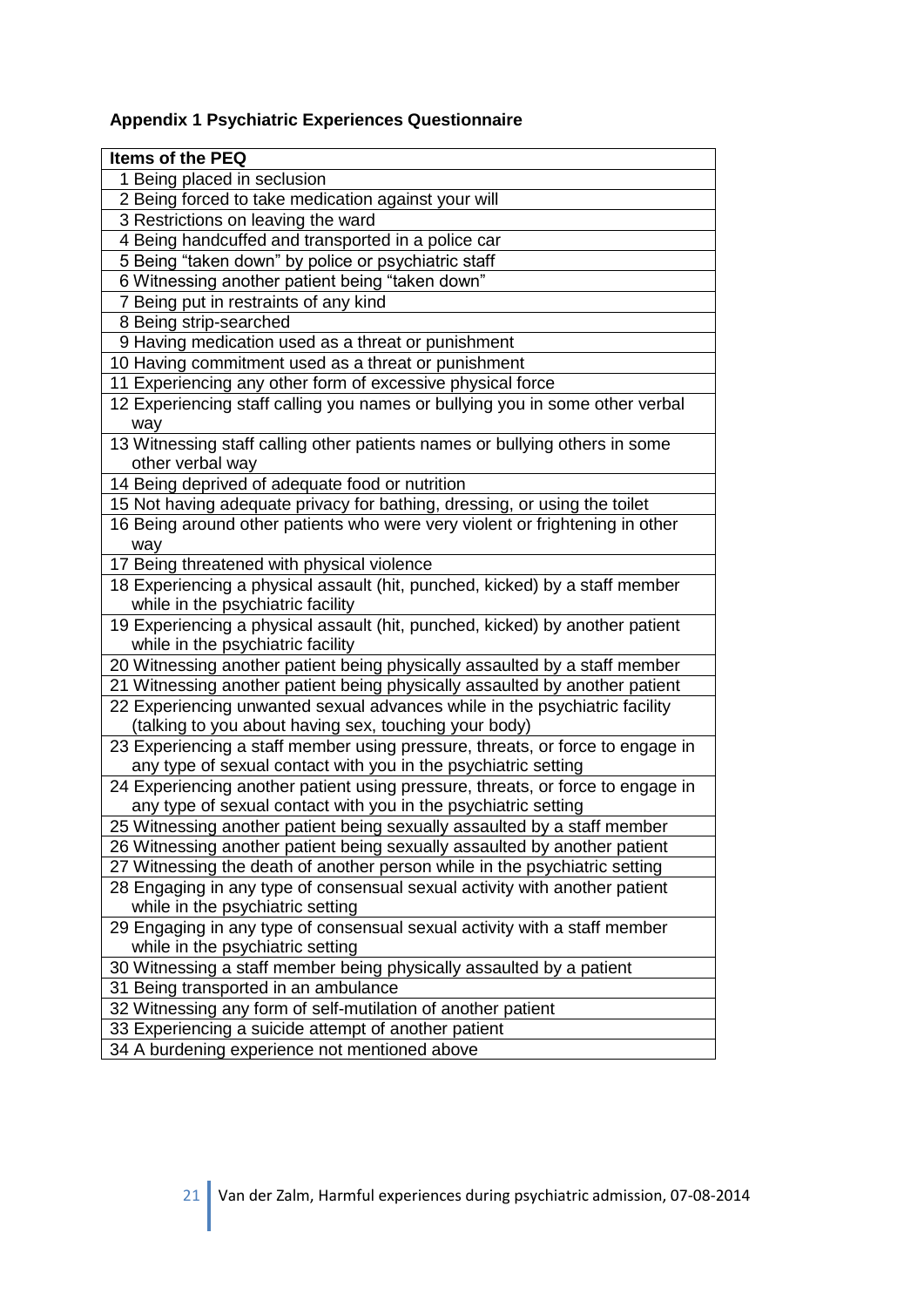# **Appendix 1 Psychiatric Experiences Questionnaire**

| Items of the PEQ                                                                                                                                 |
|--------------------------------------------------------------------------------------------------------------------------------------------------|
| 1 Being placed in seclusion                                                                                                                      |
| 2 Being forced to take medication against your will                                                                                              |
| 3 Restrictions on leaving the ward                                                                                                               |
| 4 Being handcuffed and transported in a police car                                                                                               |
| 5 Being "taken down" by police or psychiatric staff                                                                                              |
| 6 Witnessing another patient being "taken down"                                                                                                  |
| 7 Being put in restraints of any kind                                                                                                            |
| 8 Being strip-searched                                                                                                                           |
| 9 Having medication used as a threat or punishment                                                                                               |
| 10 Having commitment used as a threat or punishment                                                                                              |
| 11 Experiencing any other form of excessive physical force                                                                                       |
| 12 Experiencing staff calling you names or bullying you in some other verbal<br>way                                                              |
| 13 Witnessing staff calling other patients names or bullying others in some<br>other verbal way                                                  |
| 14 Being deprived of adequate food or nutrition                                                                                                  |
| 15 Not having adequate privacy for bathing, dressing, or using the toilet                                                                        |
| 16 Being around other patients who were very violent or frightening in other<br>way                                                              |
| 17 Being threatened with physical violence                                                                                                       |
| 18 Experiencing a physical assault (hit, punched, kicked) by a staff member<br>while in the psychiatric facility                                 |
| 19 Experiencing a physical assault (hit, punched, kicked) by another patient<br>while in the psychiatric facility                                |
| 20 Witnessing another patient being physically assaulted by a staff member                                                                       |
| 21 Witnessing another patient being physically assaulted by another patient                                                                      |
| 22 Experiencing unwanted sexual advances while in the psychiatric facility<br>(talking to you about having sex, touching your body)              |
| 23 Experiencing a staff member using pressure, threats, or force to engage in<br>any type of sexual contact with you in the psychiatric setting  |
| 24 Experiencing another patient using pressure, threats, or force to engage in<br>any type of sexual contact with you in the psychiatric setting |
| 25 Witnessing another patient being sexually assaulted by a staff member                                                                         |
| 26 Witnessing another patient being sexually assaulted by another patient                                                                        |
| 27 Witnessing the death of another person while in the psychiatric setting                                                                       |
| 28 Engaging in any type of consensual sexual activity with another patient                                                                       |
| while in the psychiatric setting                                                                                                                 |
| 29 Engaging in any type of consensual sexual activity with a staff member                                                                        |
| while in the psychiatric setting                                                                                                                 |
| 30 Witnessing a staff member being physically assaulted by a patient                                                                             |
| 31 Being transported in an ambulance                                                                                                             |
| 32 Witnessing any form of self-mutilation of another patient                                                                                     |
| 33 Experiencing a suicide attempt of another patient                                                                                             |
| 34 A burdening experience not mentioned above                                                                                                    |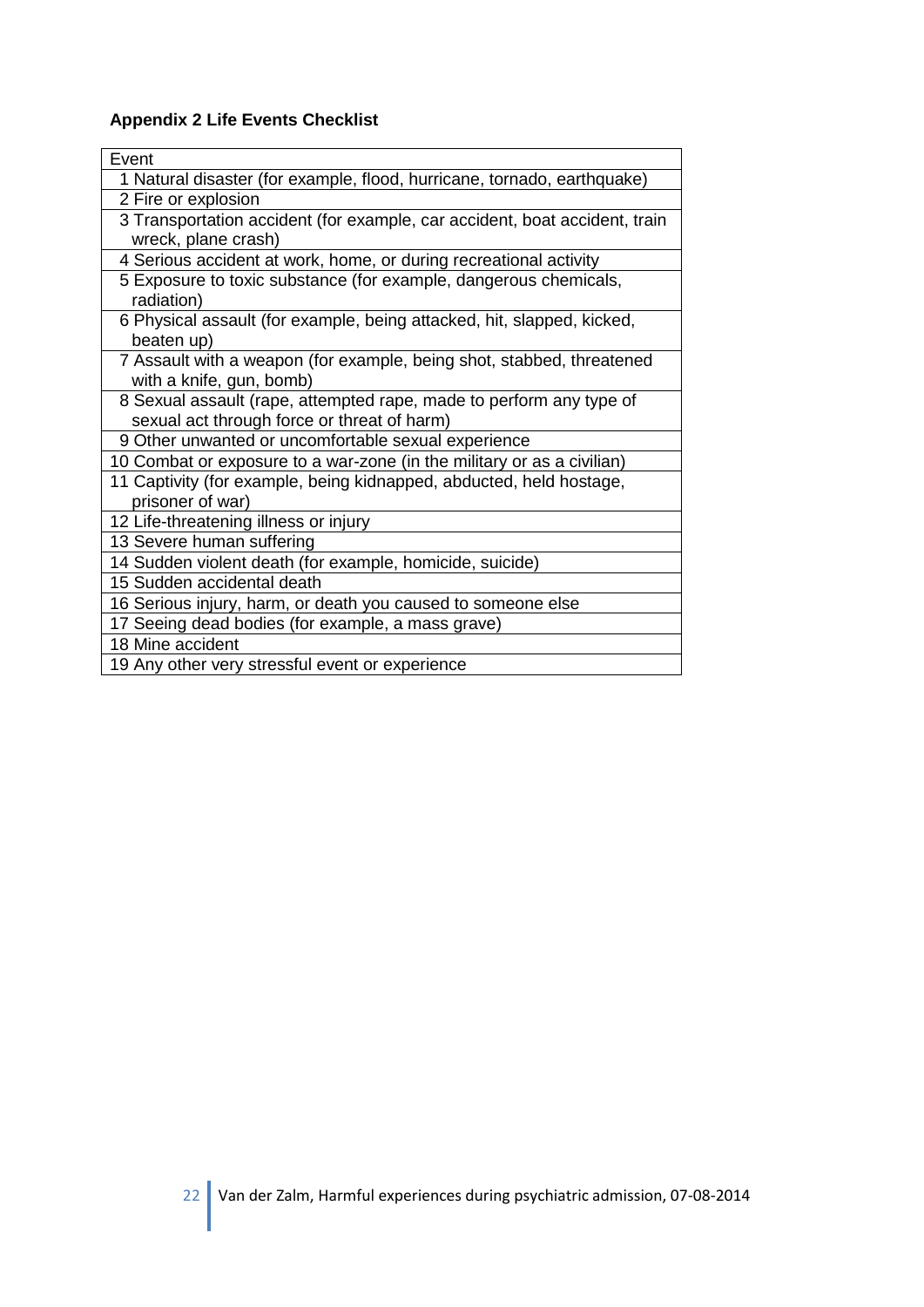# **Appendix 2 Life Events Checklist**

| Event                                                                                                              |
|--------------------------------------------------------------------------------------------------------------------|
| 1 Natural disaster (for example, flood, hurricane, tornado, earthquake)                                            |
| 2 Fire or explosion                                                                                                |
| 3 Transportation accident (for example, car accident, boat accident, train<br>wreck, plane crash)                  |
| 4 Serious accident at work, home, or during recreational activity                                                  |
| 5 Exposure to toxic substance (for example, dangerous chemicals,<br>radiation)                                     |
| 6 Physical assault (for example, being attacked, hit, slapped, kicked,<br>beaten up)                               |
| 7 Assault with a weapon (for example, being shot, stabbed, threatened<br>with a knife, gun, bomb)                  |
| 8 Sexual assault (rape, attempted rape, made to perform any type of<br>sexual act through force or threat of harm) |
| 9 Other unwanted or uncomfortable sexual experience                                                                |
| 10 Combat or exposure to a war-zone (in the military or as a civilian)                                             |
| 11 Captivity (for example, being kidnapped, abducted, held hostage,<br>prisoner of war)                            |
| 12 Life-threatening illness or injury                                                                              |
| 13 Severe human suffering                                                                                          |
| 14 Sudden violent death (for example, homicide, suicide)                                                           |
| 15 Sudden accidental death                                                                                         |
| 16 Serious injury, harm, or death you caused to someone else                                                       |
| 17 Seeing dead bodies (for example, a mass grave)                                                                  |
| 18 Mine accident                                                                                                   |
| 19 Any other very stressful event or experience                                                                    |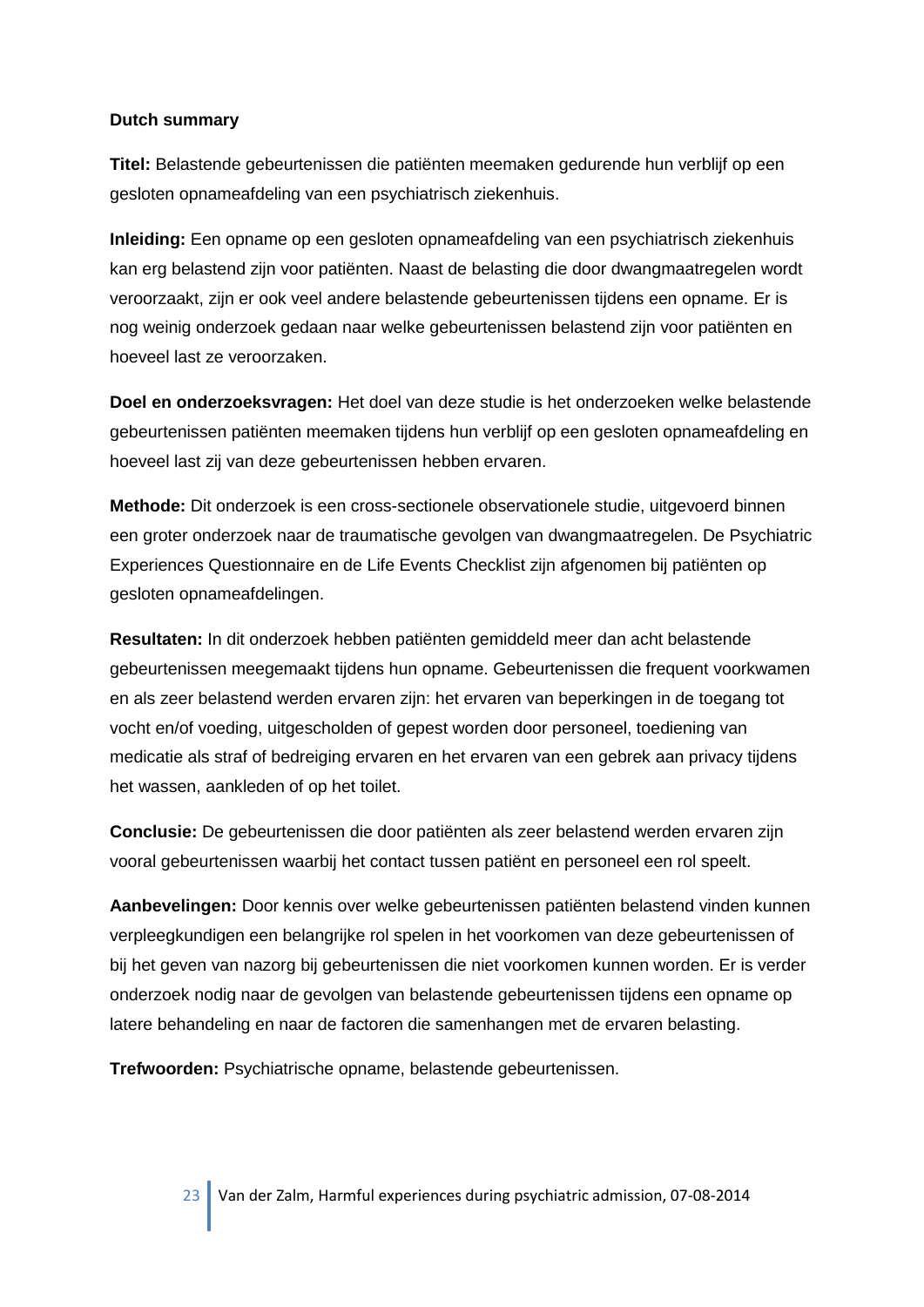#### **Dutch summary**

**Titel:** Belastende gebeurtenissen die patiënten meemaken gedurende hun verblijf op een gesloten opnameafdeling van een psychiatrisch ziekenhuis.

**Inleiding:** Een opname op een gesloten opnameafdeling van een psychiatrisch ziekenhuis kan erg belastend zijn voor patiënten. Naast de belasting die door dwangmaatregelen wordt veroorzaakt, zijn er ook veel andere belastende gebeurtenissen tijdens een opname. Er is nog weinig onderzoek gedaan naar welke gebeurtenissen belastend zijn voor patiënten en hoeveel last ze veroorzaken.

**Doel en onderzoeksvragen:** Het doel van deze studie is het onderzoeken welke belastende gebeurtenissen patiënten meemaken tijdens hun verblijf op een gesloten opnameafdeling en hoeveel last zij van deze gebeurtenissen hebben ervaren.

**Methode:** Dit onderzoek is een cross-sectionele observationele studie, uitgevoerd binnen een groter onderzoek naar de traumatische gevolgen van dwangmaatregelen. De Psychiatric Experiences Questionnaire en de Life Events Checklist zijn afgenomen bij patiënten op gesloten opnameafdelingen.

**Resultaten:** In dit onderzoek hebben patiënten gemiddeld meer dan acht belastende gebeurtenissen meegemaakt tijdens hun opname. Gebeurtenissen die frequent voorkwamen en als zeer belastend werden ervaren zijn: het ervaren van beperkingen in de toegang tot vocht en/of voeding, uitgescholden of gepest worden door personeel, toediening van medicatie als straf of bedreiging ervaren en het ervaren van een gebrek aan privacy tijdens het wassen, aankleden of op het toilet.

**Conclusie:** De gebeurtenissen die door patiënten als zeer belastend werden ervaren zijn vooral gebeurtenissen waarbij het contact tussen patiënt en personeel een rol speelt.

**Aanbevelingen:** Door kennis over welke gebeurtenissen patiënten belastend vinden kunnen verpleegkundigen een belangrijke rol spelen in het voorkomen van deze gebeurtenissen of bij het geven van nazorg bij gebeurtenissen die niet voorkomen kunnen worden. Er is verder onderzoek nodig naar de gevolgen van belastende gebeurtenissen tijdens een opname op latere behandeling en naar de factoren die samenhangen met de ervaren belasting.

**Trefwoorden:** Psychiatrische opname, belastende gebeurtenissen.